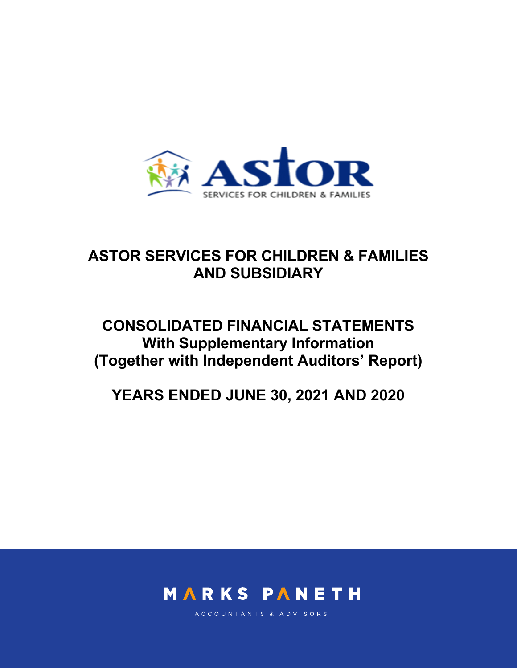

## **ASTOR SERVICES FOR CHILDREN & FAMILIES AND SUBSIDIARY**

## **CONSOLIDATED FINANCIAL STATEMENTS With Supplementary Information (Together with Independent Auditors' Report)**

**YEARS ENDED JUNE 30, 2021 AND 2020** 



ACCOUNTANTS & ADVISORS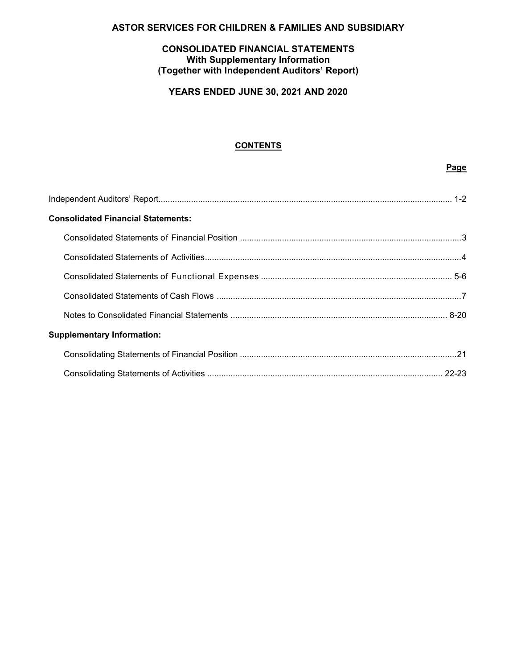### **ASTOR SERVICES FOR CHILDREN & FAMILIES AND SUBSIDIARY**

### **CONSOLIDATED FINANCIAL STATEMENTS With Supplementary Information (Together with Independent Auditors' Report)**

**YEARS ENDED JUNE 30, 2021 AND 2020** 

### **CONTENTS**

 **Page** 

| <b>Consolidated Financial Statements:</b> |  |
|-------------------------------------------|--|
|                                           |  |
|                                           |  |
|                                           |  |
|                                           |  |
|                                           |  |
| <b>Supplementary Information:</b>         |  |
|                                           |  |
|                                           |  |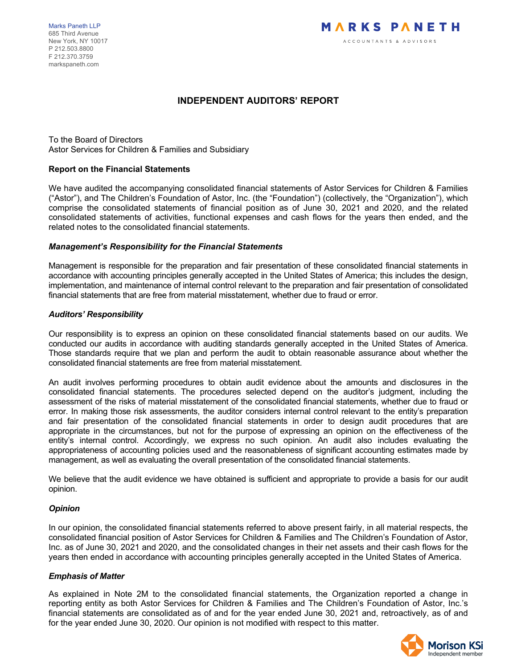Marks Paneth LLP 685 Third Avenue New York, NY 10017 P 212.503.8800 F 212.370.3759 markspaneth.com

#### **INDEPENDENT AUDITORS' REPORT**

To the Board of Directors Astor Services for Children & Families and Subsidiary

#### **Report on the Financial Statements**

We have audited the accompanying consolidated financial statements of Astor Services for Children & Families ("Astor"), and The Children's Foundation of Astor, Inc. (the "Foundation") (collectively, the "Organization"), which comprise the consolidated statements of financial position as of June 30, 2021 and 2020, and the related consolidated statements of activities, functional expenses and cash flows for the years then ended, and the related notes to the consolidated financial statements.

#### *Management's Responsibility for the Financial Statements*

Management is responsible for the preparation and fair presentation of these consolidated financial statements in accordance with accounting principles generally accepted in the United States of America; this includes the design, implementation, and maintenance of internal control relevant to the preparation and fair presentation of consolidated financial statements that are free from material misstatement, whether due to fraud or error.

#### *Auditors' Responsibility*

Our responsibility is to express an opinion on these consolidated financial statements based on our audits. We conducted our audits in accordance with auditing standards generally accepted in the United States of America. Those standards require that we plan and perform the audit to obtain reasonable assurance about whether the consolidated financial statements are free from material misstatement.

An audit involves performing procedures to obtain audit evidence about the amounts and disclosures in the consolidated financial statements. The procedures selected depend on the auditor's judgment, including the assessment of the risks of material misstatement of the consolidated financial statements, whether due to fraud or error. In making those risk assessments, the auditor considers internal control relevant to the entity's preparation and fair presentation of the consolidated financial statements in order to design audit procedures that are appropriate in the circumstances, but not for the purpose of expressing an opinion on the effectiveness of the entity's internal control. Accordingly, we express no such opinion. An audit also includes evaluating the appropriateness of accounting policies used and the reasonableness of significant accounting estimates made by management, as well as evaluating the overall presentation of the consolidated financial statements.

We believe that the audit evidence we have obtained is sufficient and appropriate to provide a basis for our audit opinion.

#### *Opinion*

In our opinion, the consolidated financial statements referred to above present fairly, in all material respects, the consolidated financial position of Astor Services for Children & Families and The Children's Foundation of Astor, Inc. as of June 30, 2021 and 2020, and the consolidated changes in their net assets and their cash flows for the years then ended in accordance with accounting principles generally accepted in the United States of America.

#### *Emphasis of Matter*

As explained in Note 2M to the consolidated financial statements, the Organization reported a change in reporting entity as both Astor Services for Children & Families and The Children's Foundation of Astor, Inc.'s financial statements are consolidated as of and for the year ended June 30, 2021 and, retroactively, as of and for the year ended June 30, 2020. Our opinion is not modified with respect to this matter.

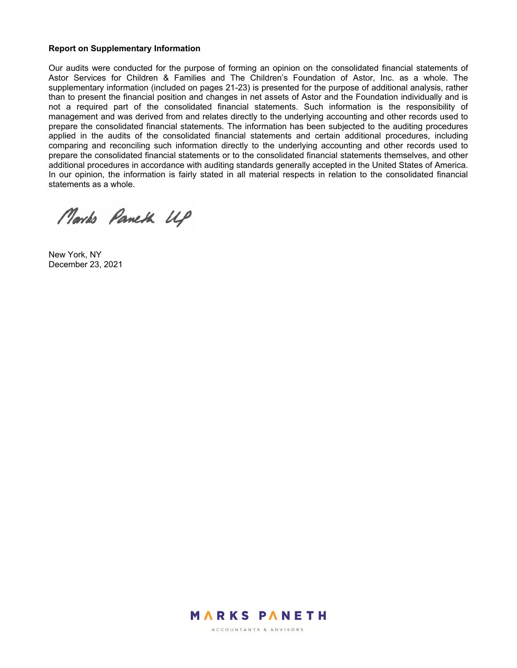#### **Report on Supplementary Information**

Our audits were conducted for the purpose of forming an opinion on the consolidated financial statements of Astor Services for Children & Families and The Children's Foundation of Astor, Inc. as a whole. The supplementary information (included on pages 21-23) is presented for the purpose of additional analysis, rather than to present the financial position and changes in net assets of Astor and the Foundation individually and is not a required part of the consolidated financial statements. Such information is the responsibility of management and was derived from and relates directly to the underlying accounting and other records used to prepare the consolidated financial statements. The information has been subjected to the auditing procedures applied in the audits of the consolidated financial statements and certain additional procedures, including comparing and reconciling such information directly to the underlying accounting and other records used to prepare the consolidated financial statements or to the consolidated financial statements themselves, and other additional procedures in accordance with auditing standards generally accepted in the United States of America. In our opinion, the information is fairly stated in all material respects in relation to the consolidated financial statements as a whole.

Marks Paneth UP

New York, NY December 23, 2021



ACCOUNTANTS & ADVISORS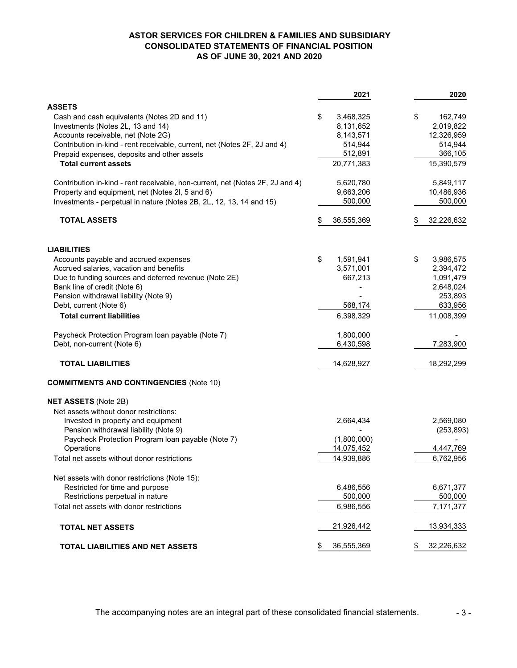#### **ASTOR SERVICES FOR CHILDREN & FAMILIES AND SUBSIDIARY CONSOLIDATED STATEMENTS OF FINANCIAL POSITION AS OF JUNE 30, 2021 AND 2020**

|                                                                                 | 2021                   | 2020             |
|---------------------------------------------------------------------------------|------------------------|------------------|
| <b>ASSETS</b>                                                                   |                        |                  |
| Cash and cash equivalents (Notes 2D and 11)                                     | \$<br>3,468,325        | \$<br>162,749    |
| Investments (Notes 2L, 13 and 14)                                               | 8,131,652              | 2,019,822        |
| Accounts receivable, net (Note 2G)                                              | 8,143,571              | 12,326,959       |
| Contribution in-kind - rent receivable, current, net (Notes 2F, 2J and 4)       | 514,944                | 514,944          |
| Prepaid expenses, deposits and other assets                                     | 512,891                | 366,105          |
| <b>Total current assets</b>                                                     | 20,771,383             | 15,390,579       |
| Contribution in-kind - rent receivable, non-current, net (Notes 2F, 2J and 4)   | 5,620,780              | 5,849,117        |
| Property and equipment, net (Notes 2I, 5 and 6)                                 | 9,663,206              | 10,486,936       |
| Investments - perpetual in nature (Notes 2B, 2L, 12, 13, 14 and 15)             | 500,000                | 500,000          |
| <b>TOTAL ASSETS</b>                                                             | \$<br>36,555,369       | 32,226,632       |
| <b>LIABILITIES</b>                                                              |                        |                  |
| Accounts payable and accrued expenses                                           | \$<br>1,591,941        | \$<br>3,986,575  |
| Accrued salaries, vacation and benefits                                         | 3,571,001              | 2,394,472        |
| Due to funding sources and deferred revenue (Note 2E)                           | 667,213                | 1,091,479        |
| Bank line of credit (Note 6)                                                    |                        | 2,648,024        |
| Pension withdrawal liability (Note 9)                                           |                        | 253,893          |
| Debt, current (Note 6)                                                          | 568,174                | 633,956          |
| <b>Total current liabilities</b>                                                | 6,398,329              | 11,008,399       |
|                                                                                 |                        |                  |
| Paycheck Protection Program Ioan payable (Note 7)<br>Debt, non-current (Note 6) | 1,800,000<br>6,430,598 | 7,283,900        |
| <b>TOTAL LIABILITIES</b>                                                        | 14,628,927             | 18,292,299       |
| <b>COMMITMENTS AND CONTINGENCIES (Note 10)</b>                                  |                        |                  |
| <b>NET ASSETS (Note 2B)</b>                                                     |                        |                  |
| Net assets without donor restrictions:                                          |                        |                  |
| Invested in property and equipment                                              | 2,664,434              | 2,569,080        |
| Pension withdrawal liability (Note 9)                                           |                        | (253, 893)       |
| Paycheck Protection Program Ioan payable (Note 7)                               | (1,800,000)            |                  |
| Operations                                                                      | 14,075,452             | 4,447,769        |
| Total net assets without donor restrictions                                     | 14,939,886             | 6,762,956        |
| Net assets with donor restrictions (Note 15):                                   |                        |                  |
| Restricted for time and purpose                                                 | 6,486,556              | 6,671,377        |
| Restrictions perpetual in nature                                                | 500,000                | 500,000          |
| Total net assets with donor restrictions                                        |                        |                  |
|                                                                                 | 6,986,556              | 7,171,377        |
| <b>TOTAL NET ASSETS</b>                                                         | 21,926,442             | 13,934,333       |
| TOTAL LIABILITIES AND NET ASSETS                                                | \$<br>36,555,369       | \$<br>32,226,632 |

The accompanying notes are an integral part of these consolidated financial statements.  $\sim$  -3 -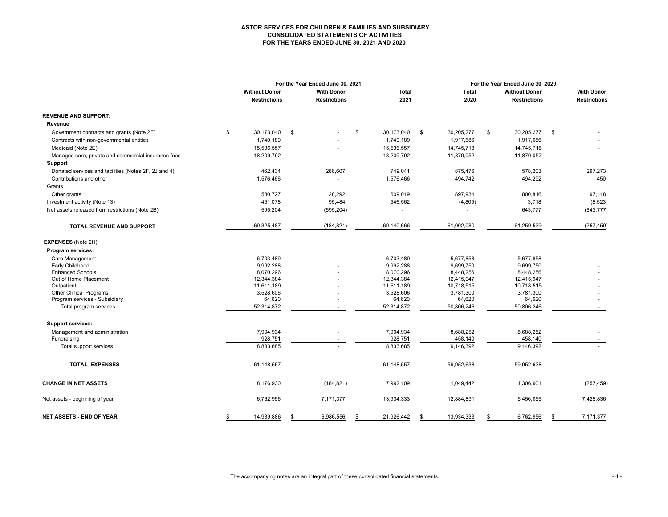#### **ASTOR SERVICES FOR CHILDREN & FAMILIES AND SUBSIDIARY CONSOLIDATED STATEMENTS OF ACTIVITIES FOR THE YEARS ENDED JUNE 30, 2021 AND 2020**

|                                                                       | For the Year Ended June 30, 2021 |    |                     |    |                      | For the Year Ended June 30, 2020 |    |                      |      |                     |
|-----------------------------------------------------------------------|----------------------------------|----|---------------------|----|----------------------|----------------------------------|----|----------------------|------|---------------------|
|                                                                       | <b>Without Donor</b>             |    | <b>With Donor</b>   |    | <b>Total</b>         | <b>Total</b>                     |    | <b>Without Donor</b> |      | <b>With Donor</b>   |
|                                                                       | <b>Restrictions</b>              |    | <b>Restrictions</b> |    | 2021                 | 2020                             |    | <b>Restrictions</b>  |      | <b>Restrictions</b> |
| <b>REVENUE AND SUPPORT:</b>                                           |                                  |    |                     |    |                      |                                  |    |                      |      |                     |
| Revenue                                                               |                                  |    |                     |    |                      |                                  |    |                      |      |                     |
| Government contracts and grants (Note 2E)                             | \$<br>30,173,040                 | \$ |                     | \$ | 30,173,040           | \$<br>30,205,277                 | \$ | 30,205,277           | - \$ |                     |
| Contracts with non-governmental entities                              | 1,740,189                        |    |                     |    | 1,740,189            | 1,917,686                        |    | 1,917,686            |      |                     |
| Medicaid (Note 2E)                                                    | 15,536,557                       |    |                     |    | 15,536,557           | 14,745,718                       |    | 14.745.718           |      |                     |
| Managed care, private and commercial insurance fees<br><b>Support</b> | 18,209,792                       |    |                     |    | 18,209,792           | 11,870,052                       |    | 11,870,052           |      |                     |
| Donated services and facilities (Notes 2F, 2J and 4)                  | 462,434                          |    | 286,607             |    | 749,041              | 875,476                          |    | 578,203              |      | 297,273             |
| Contributions and other                                               | 1,576,466                        |    |                     |    | 1,576,466            | 494,742                          |    | 494,292              |      | 450                 |
| Grants                                                                |                                  |    |                     |    |                      |                                  |    |                      |      |                     |
| Other grants                                                          | 580,727                          |    | 28,292              |    | 609,019              | 897,934                          |    | 800,816              |      | 97,118              |
| Investment activity (Note 13)                                         | 451,078                          |    | 95,484              |    | 546,562              | (4, 805)                         |    | 3,718                |      | (8, 523)            |
| Net assets released from restrictions (Note 2B)                       | 595,204                          |    | (595, 204)          |    |                      |                                  |    | 643,777              |      | (643, 777)          |
| TOTAL REVENUE AND SUPPORT                                             | 69,325,487                       |    | (184, 821)          |    | 69,140,666           | 61,002,080                       |    | 61,259,539           |      | (257, 459)          |
| <b>EXPENSES</b> (Note 2H):                                            |                                  |    |                     |    |                      |                                  |    |                      |      |                     |
| Program services:                                                     |                                  |    |                     |    |                      |                                  |    |                      |      |                     |
| Care Management                                                       | 6,703,489                        |    |                     |    | 6,703,489            | 5,677,858                        |    | 5,677,858            |      |                     |
| Early Childhood                                                       | 9,992,288                        |    |                     |    | 9,992,288            | 9,699,750                        |    | 9,699,750            |      |                     |
| <b>Enhanced Schools</b>                                               | 8,070,296                        |    |                     |    | 8,070,296            | 8,448,256                        |    | 8,448,256            |      |                     |
| Out of Home Placement                                                 | 12,344,384                       |    |                     |    | 12,344,384           | 12,415,947                       |    | 12,415,947           |      |                     |
| Outpatient                                                            | 11,611,189                       |    |                     |    | 11,611,189           | 10,718,515                       |    | 10,718,515           |      |                     |
| <b>Other Clinical Programs</b><br>Program services - Subsidiary       | 3,528,606<br>64,620              |    |                     |    | 3,528,606<br>64,620  | 3,781,300<br>64,620              |    | 3,781,300<br>64,620  |      |                     |
| Total program services                                                | 52,314,872                       |    | $\sim$              |    | 52,314,872           | 50,806,246                       |    | 50,806,246           |      |                     |
| <b>Support services:</b>                                              |                                  |    |                     |    |                      |                                  |    |                      |      |                     |
|                                                                       |                                  |    |                     |    |                      |                                  |    |                      |      |                     |
| Management and administration<br>Fundraising                          | 7,904,934<br>928,751             |    |                     |    | 7,904,934<br>928,751 | 8,688,252<br>458,140             |    | 8,688,252<br>458,140 |      |                     |
| Total support services                                                | 8,833,685                        |    |                     |    | 8,833,685            | 9,146,392                        |    | 9,146,392            |      |                     |
|                                                                       |                                  |    |                     |    |                      |                                  |    |                      |      |                     |
| <b>TOTAL EXPENSES</b>                                                 | 61,148,557                       |    |                     |    | 61,148,557           | 59,952,638                       |    | 59,952,638           |      |                     |
| <b>CHANGE IN NET ASSETS</b>                                           | 8,176,930                        |    | (184, 821)          |    | 7,992,109            | 1,049,442                        |    | 1,306,901            |      | (257, 459)          |
| Net assets - beginning of year                                        | 6,762,956                        |    | 7,171,377           |    | 13,934,333           | 12,884,891                       |    | 5,456,055            |      | 7,428,836           |
| NET ASSETS - END OF YEAR                                              | \$<br>14,939,886                 | \$ | 6,986,556           | \$ | 21,926,442           | \$<br>13,934,333                 | \$ | 6,762,956            | \$   | 7,171,377           |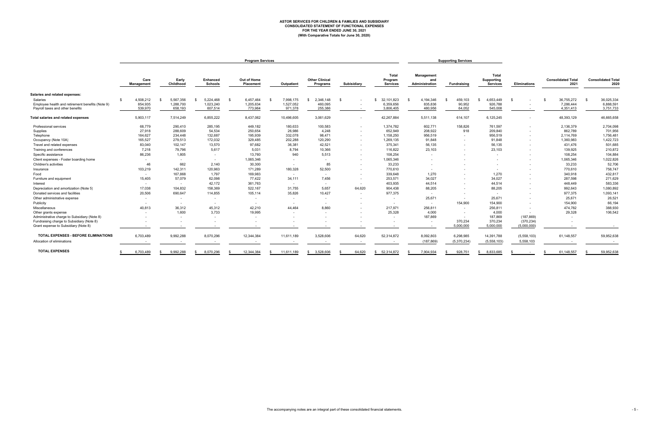### **ASTOR SERVICES FOR CHILDREN & FAMILIES AND SUBSIDIARY CONSOLIDATED STATEMENT OF FUNCTIONAL EXPENSES FOR THE YEAR ENDED JUNE 30, 2021 (With Comparative Totals for June 30, 2020)**

|                                                                                      | <b>Program Services</b> |                          |                            |                          |                          |                                   |                          |                                     |                                     | <b>Supporting Services</b> |                                        |                          |                                   |                                  |
|--------------------------------------------------------------------------------------|-------------------------|--------------------------|----------------------------|--------------------------|--------------------------|-----------------------------------|--------------------------|-------------------------------------|-------------------------------------|----------------------------|----------------------------------------|--------------------------|-----------------------------------|----------------------------------|
|                                                                                      | Care<br>Management      | Early<br>Childhood       | Enhanced<br><b>Schools</b> | Out of Home<br>Placement | Outpatient               | <b>Other Clinical</b><br>Programs | Subisidiary              | Total<br>Program<br><b>Services</b> | Management<br>and<br>Administration | <b>Fundraising</b>         | Total<br>Supporting<br><b>Services</b> | <b>Eliminations</b>      | <b>Consolidated Total</b><br>2021 | <b>Consolidated Tota</b><br>2020 |
| Salaries and related expenses:                                                       |                         |                          |                            |                          |                          |                                   |                          |                                     |                                     |                            |                                        |                          |                                   |                                  |
| Salaries                                                                             | 4,508,212<br>\$         | 5.567.356                | 5.224.468                  | 6,457,464<br>- \$        | 7.998.175<br>- \$        | 2,346,148<br>\$.                  |                          | 32,101,823                          | 4.194.346                           | 459,103                    | 4.653.449<br>\$                        |                          | 36,755,272                        | 36,025,334<br>- \$               |
| Employee health and retirement benefits (Note 9)<br>Payroll taxes and other benefits | 854,935<br>539,970      | 1,288,700<br>658,193     | 1,023,240<br>607,514       | 1,205,634<br>773,964     | 1,527,052<br>971,378     | 460,095<br>255,386                |                          | 6,359,656<br>3,806,405              | 835,836<br>480,956                  | 90,952<br>64,052           | 926,788<br>545,008                     |                          | 7,286,444<br>4,351,413            | 6,888,591<br>3,751,733           |
| <b>Total salaries and related expenses</b>                                           | 5,903,117               | 7,514,249                | 6,855,222                  | 8,437,062                | 10,496,605               | 3,061,629                         | $\overline{\phantom{a}}$ | 42,267,884                          | 5,511,138                           | 614,107                    | 6,125,245                              | $\overline{\phantom{a}}$ | 48,393,129                        | 46,665,658                       |
| Professional services                                                                | 68,779                  | 290,410                  | 285,195                    | 449,182                  | 180,633                  | 100,583                           |                          | 1,374,782                           | 602,771                             | 158,826                    | 761,597                                | $\overline{\phantom{a}}$ | 2,136,379                         | 2,704,098                        |
| Supplies                                                                             | 27,918                  | 288,609                  | 54,534                     | 250,654                  | 26,986                   | 4,248                             | $\overline{\phantom{a}}$ | 652,949                             | 208,922                             | 918                        | 209,840                                | $\overline{\phantom{a}}$ | 862,789                           | 701,956                          |
| Telephone                                                                            | 164,627                 | 234,448                  | 132,687                    | 195,939                  | 332,078                  | 98,471                            | $\sim$                   | 1,158,250                           | 956,519                             | $\sim$                     | 956,519                                | $\overline{\phantom{a}}$ | 2,114,769                         | 1,756,481                        |
| Occupancy (Note 10A)                                                                 | 165,527                 | 279,513                  | 172,032                    | 329,485                  | 202,288                  | 120,290                           |                          | 1,269,135                           | 91,848                              |                            | 91,848                                 | $\overline{\phantom{a}}$ | 1,360,983                         | 1,422,723                        |
| Travel and related expenses                                                          | 83,040                  | 102,147                  | 13,570                     | 97,682                   | 36,381                   | 42,521                            |                          | 375,341                             | 56,135                              |                            | 56,135                                 | $\overline{\phantom{a}}$ | 431,476                           | 501,685                          |
| Training and conferences                                                             | 7,218                   | 79,796                   | 5,617                      | 5,031                    | 8,794                    | 10,366                            |                          | 116,822                             | 23,103                              |                            | 23,103                                 |                          | 139,925                           | 210,872                          |
| Specific assistance                                                                  | 86,236                  | 1,805                    | $\sim$                     | 13,760                   | 940                      | 5,513                             | $\overline{a}$           | 108,254                             |                                     |                            |                                        | $\overline{\phantom{a}}$ | 108,254                           | 104,884                          |
| Client expenses - Foster boarding home                                               | $\sim$                  | $\overline{\phantom{a}}$ | $\sim$                     | 1,065,346                | $\sim$                   | $\sim$                            |                          | 1,065,346                           |                                     |                            |                                        |                          | 1,065,346                         | 1,022,826                        |
| Children's activities                                                                | 46                      | 662                      | 2,140                      | 30,300                   | $\overline{\phantom{a}}$ | 85                                |                          | 33,233                              |                                     |                            |                                        |                          | 33,233                            | 52,706                           |
| Insurance                                                                            | 103,219                 | 142,311                  | 120,963                    | 171,289                  | 180,328                  | 52,500                            | $\overline{a}$           | 770,610                             | $\sim$                              |                            |                                        | $\overline{\phantom{a}}$ | 770,610                           | 758,747                          |
| Food                                                                                 | $\sim$                  | 167,868                  | 1,797                      | 169,983                  | $\sim$                   | $\sim$                            | $\overline{\phantom{a}}$ | 339,648                             | 1,270                               |                            | 1,270                                  |                          | 340,918                           | 432,817                          |
| Furniture and equipment                                                              | 15,405                  | 57,079                   | 62,098                     | 77,422                   | 34,111                   | 7,456                             | $\overline{\phantom{a}}$ | 253,571                             | 34,027                              |                            | 34,027                                 | $\overline{\phantom{a}}$ | 287,598                           | 271,629                          |
| Interest                                                                             | $\sim$                  | $\sim$                   | 42,172                     | 361,763                  | $\sim$ $-$               | $\sim$                            | $\sim$                   | 403,935                             | 44,514                              |                            | 44,514                                 |                          | 448,449                           | 583,336                          |
| Depreciation and amortization (Note 5)                                               | 17,038                  | 104,832                  | 158,369                    | 522,167                  | 31,755                   | 5,657                             | 64,620                   | 904,438                             | 88,205                              |                            | 88,205                                 |                          | 992,643                           | 1,080,892                        |
| Donated services and facilities                                                      | 20,506                  | 690,647                  | 114,855                    | 105,114                  | 35,826                   | 10,427                            | $\overline{\phantom{a}}$ | 977,375                             | $\sim$                              | $\overline{\phantom{a}}$   | $\sim$                                 | $\overline{\phantom{a}}$ | 977,375                           | 1,093,141                        |
| Other administrative expense                                                         |                         |                          | $\sim$                     | $\overline{\phantom{0}}$ | $\sim$                   | $\sim$                            | $\overline{\phantom{a}}$ | $\sim$                              | 25,671                              | $\sim$                     | 25,671                                 |                          | 25,671                            | 26,521                           |
| Publicity                                                                            | $\sim$                  | $\sim$                   | $\sim$                     | $\overline{\phantom{0}}$ | $\sim$                   | $\sim$                            |                          | $\sim$                              | $\sim$                              | 154,900                    | 154,900                                | $\overline{\phantom{a}}$ | 154,900                           | 66,194                           |
| Miscellaneous                                                                        | 40,813                  | 36,312                   | 45,312                     | 42,210                   | 44.464                   | 8,860                             |                          | 217,971                             | 256,811                             | $\overline{\phantom{a}}$   | 256,811                                | $\overline{\phantom{a}}$ | 474,782                           | 388,930                          |
| Other grants expense                                                                 |                         | 1,600                    | 3,733                      | 19,995                   |                          |                                   |                          | 25,328                              | 4,000                               |                            | 4,000                                  |                          | 29,328                            | 106,542                          |
| Administrative charge to Subsidiary (Note 8)                                         |                         |                          | $\sim$                     |                          | $\overline{\phantom{a}}$ |                                   |                          | $\overline{\phantom{a}}$            | 187,869                             | $\overline{\phantom{a}}$   | 187,869                                | (187, 869)               |                                   |                                  |
| Fundraising charge to Subsidiary (Note 8)                                            |                         |                          |                            |                          |                          |                                   |                          | $\overline{\phantom{a}}$            | $\overline{\phantom{a}}$            | 370,234                    | 370,234                                | (370, 234)               |                                   |                                  |
| Grant expense to Subsidiary (Note 8)                                                 |                         |                          |                            |                          |                          |                                   |                          |                                     |                                     | 5,000,000                  | 5,000,000                              | (5,000,000)              |                                   |                                  |
| TOTAL EXPENSES - BEFORE ELIMINATIONS                                                 | 6,703,489               | 9,992,288                | 8,070,296                  | 12,344,384               | 11,611,189               | 3,528,606                         | 64,620                   | 52,314,872                          | 8,092,803                           | 6,298,985                  | 14,391,788                             | (5,558,103)              | 61,148,557                        | 59,952,638                       |
| Allocation of eliminations                                                           |                         |                          |                            |                          |                          |                                   |                          |                                     | (187.869)                           | (5,370,234)                | (5,558,103)                            | 5,558,103                |                                   | $\sim$                           |
| <b>TOTAL EXPENSES</b>                                                                | 6,703,489               | 9,992,288                | 8,070,296                  | 12,344,384               | 11,611,189               | 3,528,606                         | 64,620                   | 52,314,872                          | 7,904,934                           | 928,751                    | 8,833,685                              |                          | 61,148,557                        | 59,952,638                       |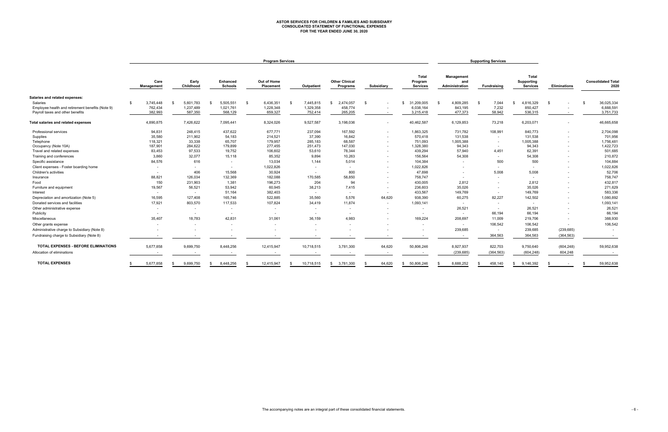# **ASTOR SERVICES FOR CHILDREN & FAMILIES AND SUBSIDIARY CONSOLIDATED STATEMENT OF FUNCTIONAL EXPENSES FOR THE YEAR ENDED JUNE 30, 2020**

|                                                  |                           |                    |                            | <b>Program Services</b>  |                   |                                   |                                  |                                     | <b>Supporting Services</b>          |                          |                                        |                          |                                  |  |
|--------------------------------------------------|---------------------------|--------------------|----------------------------|--------------------------|-------------------|-----------------------------------|----------------------------------|-------------------------------------|-------------------------------------|--------------------------|----------------------------------------|--------------------------|----------------------------------|--|
|                                                  | Care<br><b>Management</b> | Early<br>Childhood | Enhanced<br><b>Schools</b> | Out of Home<br>Placement | Outpatient        | <b>Other Clinical</b><br>Programs | Subsidiary                       | Total<br>Program<br><b>Services</b> | Management<br>and<br>Administration | <b>Fundraising</b>       | Total<br>Supporting<br><b>Services</b> | <b>Eliminations</b>      | <b>Consolidated Tota</b><br>2020 |  |
| Salaries and related expenses:                   |                           |                    |                            |                          |                   |                                   |                                  |                                     |                                     |                          |                                        |                          |                                  |  |
| Salaries                                         | 3,745,448                 | 5,601,783<br>- \$  | 5,505,551                  | 6,436,351<br>- \$        | 7,445,815<br>. \$ | 2,474,057                         | - \$<br>$\overline{\phantom{a}}$ | 31,209,005                          | 4,809,285                           | 7,044<br>- \$            | 4,816,329<br>-\$                       | -S                       | 36,025,334                       |  |
| Employee health and retirement benefits (Note 9) | 762,434                   | 1,237,489          | 1,021,761                  | 1,228,348                | 1,329,358         | 458,774                           |                                  | 6,038,164                           | 843,195                             | 7,232                    | 850,427                                |                          | 6,888,591                        |  |
| Payroll taxes and other benefits                 | 382,993                   | 587,350            | 568,129                    | 659,327                  | 752,414           | 265,205                           |                                  | 3,215,418                           | 477,373                             | 58,942                   | 536,315                                | $\overline{\phantom{a}}$ | 3,751,733                        |  |
| <b>Total salaries and related expenses</b>       | 4,890,875                 | 7,426,622          | 7,095,441                  | 8,324,026                | 9,527,587         | 3,198,036                         | $\overline{\phantom{a}}$         | 40,462,587                          | 6,129,853                           | 73,218                   | 6,203,071                              | $\overline{\phantom{a}}$ | 46,665,658                       |  |
| Professional services                            | 94,831                    | 248,415            | 437,622                    | 677,771                  | 237,094           | 167,592                           | $\overline{\phantom{a}}$         | 1,863,325                           | 731,782                             | 108,991                  | 840,773                                |                          | 2,704,098                        |  |
| Supplies                                         | 35,580                    | 211,902            | 54,183                     | 214,521                  | 37,390            | 16,842                            | $\overline{\phantom{a}}$         | 570,418                             | 131,538                             | $\sim$                   | 131,538                                |                          | 701,956                          |  |
| Telephone                                        | 118,321                   | 33,338             | 65,707                     | 179,957                  | 285,183           | 68,587                            | $\overline{\phantom{a}}$         | 751,093                             | 1,005,388                           | $\sim$                   | 1,005,388                              |                          | 1,756,481                        |  |
| Occupancy (Note 10A)                             | 187,901                   | 284,622            | 179,899                    | 277,455                  | 251,473           | 147,030                           |                                  | 1,328,380                           | 94,343                              | $\overline{\phantom{a}}$ | 94,343                                 |                          | 1,422,723                        |  |
| Travel and related expenses                      | 83,453                    | 97,533             | 19,752                     | 106,602                  | 53,610            | 78,344                            | $\overline{\phantom{a}}$         | 439,294                             | 57,940                              | 4,451                    | 62,391                                 | $\overline{\phantom{a}}$ | 501,685                          |  |
| Training and conferences                         | 3,860                     | 32,077             | 15,118                     | 85,352                   | 9,894             | 10,263                            | $\overline{\phantom{a}}$         | 156,564                             | 54,308                              | $\overline{\phantom{a}}$ | 54,308                                 | $\overline{\phantom{a}}$ | 210,872                          |  |
| Specific assistance                              | 84,576                    | 616                | $\sim$                     | 13,034                   | 1,144             | 5,014                             | $\overline{\phantom{a}}$         | 104,384                             |                                     | 500                      | 500                                    | $\overline{\phantom{a}}$ | 104,884                          |  |
| Client expenses - Foster boarding home           | $\sim$                    | $\sim$             | $\overline{\phantom{a}}$   | 1,022,826                | $\sim$            | $\overline{\phantom{a}}$          | $\overline{\phantom{a}}$         | 1,022,826                           |                                     | $\overline{\phantom{a}}$ | $\sim$                                 | $\overline{\phantom{a}}$ | 1,022,826                        |  |
| Children's activities                            | $\overline{\phantom{a}}$  | 406                | 15,568                     | 30,924                   | $\sim$            | 800                               | $\overline{\phantom{a}}$         | 47,698                              |                                     | 5,008                    | 5,008                                  | $\overline{\phantom{a}}$ | 52,706                           |  |
| Insurance                                        | 88,821                    | 126,034            | 132,369                    | 182,088                  | 170,585           | 58,850                            | $\overline{\phantom{a}}$         | 758,747                             | $\sim$                              | $\overline{\phantom{a}}$ | $\sim$                                 | $\overline{\phantom{a}}$ | 758,747                          |  |
| Food                                             | 150                       | 231,903            | 1,381                      | 196,273                  | 204               | 94                                | $\overline{\phantom{a}}$         | 430,005                             | 2,812                               | $\sim$                   | 2,812                                  | $\overline{\phantom{a}}$ | 432,817                          |  |
| Furniture and equipment                          | 19,567                    | 56,521             | 53,942                     | 60,945                   | 38,213            | 7,415                             | $\overline{\phantom{a}}$         | 236,603                             | 35,026                              | $\sim$                   | 35,026                                 | $\overline{\phantom{a}}$ | 271,629                          |  |
| Interest                                         | $\sim$                    | $\sim$             | 51,164                     | 382,403                  | $\sim$            | $\overline{\phantom{a}}$          | $\overline{\phantom{a}}$         | 433,567                             | 149,769                             | $\overline{\phantom{a}}$ | 149,769                                |                          | 583,336                          |  |
| Depreciation and amortization (Note 5)           | 16,595                    | 127,408            | 165,746                    | 522,885                  | 35,560            | 5,576                             | 64,620                           | 938,390                             | 60,275                              | 82,227                   | 142,502                                | $\overline{\phantom{a}}$ | 1,080,892                        |  |
| Donated services and facilities                  | 17,921                    | 803,570            | 117,533                    | 107,824                  | 34,419            | 11,874                            | $\overline{\phantom{a}}$         | 1,093,141                           | $\sim$                              | $\sim$                   | $\overline{\phantom{a}}$               | $\overline{\phantom{a}}$ | 1,093,141                        |  |
| Other administrative expense                     | $\overline{\phantom{a}}$  | $\sim$             | $\overline{\phantom{a}}$   | $\overline{\phantom{a}}$ | $\sim$            | $\overline{\phantom{a}}$          | $\overline{\phantom{a}}$         | $\overline{\phantom{a}}$            | 26,521                              | $\overline{\phantom{a}}$ | 26,521                                 | $\overline{\phantom{a}}$ | 26,521                           |  |
| Publicity                                        | $\overline{\phantom{a}}$  | $\sim$             | $\overline{\phantom{a}}$   | $\overline{\phantom{a}}$ |                   | $\overline{\phantom{a}}$          |                                  | $\overline{\phantom{a}}$            | $\sim$                              | 66,194                   | 66,194                                 |                          | 66,194                           |  |
| Miscellaneous                                    | 35,407                    | 18,783             | 42,831                     | 31,061                   | 36,159            | 4,983                             | $\overline{\phantom{a}}$         | 169,224                             | 208,697                             | 11,009                   | 219,706                                | $\overline{\phantom{0}}$ | 388,930                          |  |
| Other grants expense                             | $\overline{\phantom{a}}$  |                    | $\overline{\phantom{0}}$   | $\overline{\phantom{a}}$ |                   | $\overline{\phantom{a}}$          |                                  | $\overline{\phantom{0}}$            | $\sim$                              | 106,542                  | 106,542                                | $\overline{\phantom{a}}$ | 106,542                          |  |
| Administrative charge to Subsidiary (Note 8)     |                           |                    |                            |                          |                   |                                   |                                  |                                     | 239,685                             | $\sim$                   | 239,685                                | (239, 685)               | $\overline{a}$                   |  |
| Fundraising charge to Subsidiary (Note 8)        |                           |                    |                            |                          |                   |                                   |                                  |                                     |                                     | 364,563                  | 364,563                                | (364, 563)               | $\sim$                           |  |
| TOTAL EXPENSES - BEFORE ELIMINATIONS             | 5,677,858                 | 9,699,750          | 8,448,256                  | 12,415,947               | 10,718,515        | 3,781,300                         | 64,620                           | 50,806,246                          | 8,927,937                           | 822,703                  | 9,750,640                              | (604, 248)               | 59,952,638                       |  |
| Allocation of eliminations                       |                           |                    |                            |                          |                   |                                   |                                  |                                     | (239, 685)                          | (364, 563)               | (604, 248)                             | 604,248                  | $\sim$ $-$                       |  |
| <b>TOTAL EXPENSES</b>                            | 5.677.858                 | 9,699,750<br>- \$  | 8,448,256<br>s.            | 12,415,947               | 10,718,515<br>S   | 3,781,300<br>S.                   | 64,620                           | 50,806,246<br>S.                    | 8,688,252                           | 458,140<br>- \$          | 9,146,392<br>- \$                      |                          | 59,952,638                       |  |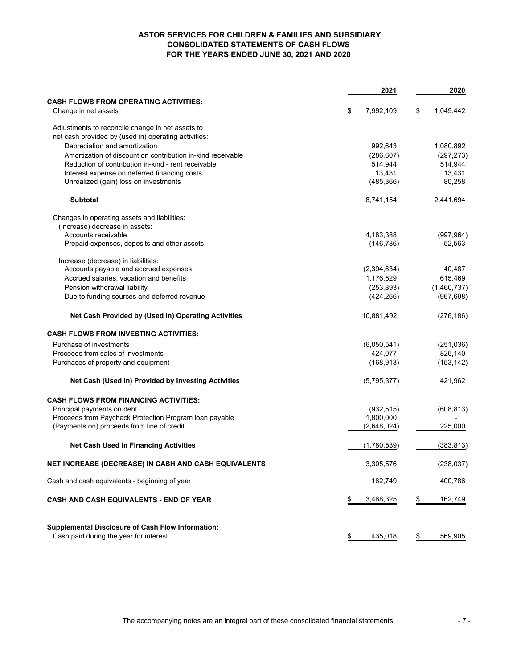#### **ASTOR SERVICES FOR CHILDREN & FAMILIES AND SUBSIDIARY CONSOLIDATED STATEMENTS OF CASH FLOWS FOR THE YEARS ENDED JUNE 30, 2021 AND 2020**

|                                                                                                    | 2021            |    |             |
|----------------------------------------------------------------------------------------------------|-----------------|----|-------------|
| <b>CASH FLOWS FROM OPERATING ACTIVITIES:</b>                                                       |                 |    |             |
| Change in net assets                                                                               | \$<br>7,992,109 | \$ | 1,049,442   |
| Adjustments to reconcile change in net assets to                                                   |                 |    |             |
| net cash provided by (used in) operating activities:                                               |                 |    |             |
| Depreciation and amortization                                                                      | 992,643         |    | 1,080,892   |
| Amortization of discount on contribution in-kind receivable                                        | (286, 607)      |    | (297, 273)  |
| Reduction of contribution in-kind - rent receivable                                                | 514,944         |    | 514,944     |
| Interest expense on deferred financing costs                                                       | 13,431          |    | 13,431      |
| Unrealized (gain) loss on investments                                                              | (485, 366)      |    | 80,258      |
| <b>Subtotal</b>                                                                                    | 8,741,154       |    | 2,441,694   |
| Changes in operating assets and liabilities:                                                       |                 |    |             |
| (Increase) decrease in assets:                                                                     |                 |    |             |
| Accounts receivable                                                                                | 4,183,388       |    | (997, 964)  |
| Prepaid expenses, deposits and other assets                                                        | (146, 786)      |    | 52,563      |
| Increase (decrease) in liabilities:                                                                |                 |    |             |
| Accounts payable and accrued expenses                                                              | (2,394,634)     |    | 40,487      |
| Accrued salaries, vacation and benefits                                                            | 1,176,529       |    | 615,469     |
| Pension withdrawal liability                                                                       | (253, 893)      |    | (1,460,737) |
| Due to funding sources and deferred revenue                                                        | (424, 266)      |    | (967, 698)  |
| Net Cash Provided by (Used in) Operating Activities                                                | 10,881,492      |    | (276, 186)  |
| <b>CASH FLOWS FROM INVESTING ACTIVITIES:</b>                                                       |                 |    |             |
| Purchase of investments                                                                            | (6,050,541)     |    | (251, 036)  |
| Proceeds from sales of investments                                                                 | 424,077         |    | 826,140     |
| Purchases of property and equipment                                                                | (168, 913)      |    | (153, 142)  |
| Net Cash (Used in) Provided by Investing Activities                                                | (5,795,377)     |    | 421,962     |
| <b>CASH FLOWS FROM FINANCING ACTIVITIES:</b>                                                       |                 |    |             |
| Principal payments on debt                                                                         | (932, 515)      |    | (608, 813)  |
| Proceeds from Paycheck Protection Program Ioan payable                                             | 1,800,000       |    |             |
| (Payments on) proceeds from line of credit                                                         | (2,648,024)     |    | 225,000     |
| <b>Net Cash Used in Financing Activities</b>                                                       | (1,780,539)     |    | (383, 813)  |
| NET INCREASE (DECREASE) IN CASH AND CASH EQUIVALENTS                                               | 3,305,576       |    | (238, 037)  |
| Cash and cash equivalents - beginning of year                                                      | 162,749         |    | 400,786     |
| CASH AND CASH EQUIVALENTS - END OF YEAR                                                            | \$<br>3,468,325 | \$ | 162,749     |
| <b>Supplemental Disclosure of Cash Flow Information:</b><br>Cash paid during the year for interest | \$<br>435,018   | \$ | 569,905     |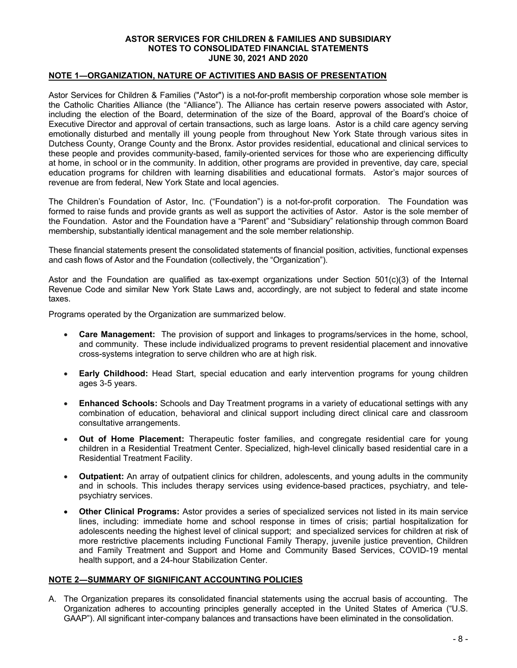#### **NOTE 1―ORGANIZATION, NATURE OF ACTIVITIES AND BASIS OF PRESENTATION**

Astor Services for Children & Families ("Astor") is a not-for-profit membership corporation whose sole member is the Catholic Charities Alliance (the "Alliance"). The Alliance has certain reserve powers associated with Astor, including the election of the Board, determination of the size of the Board, approval of the Board's choice of Executive Director and approval of certain transactions, such as large loans. Astor is a child care agency serving emotionally disturbed and mentally ill young people from throughout New York State through various sites in Dutchess County, Orange County and the Bronx. Astor provides residential, educational and clinical services to these people and provides community-based, family-oriented services for those who are experiencing difficulty at home, in school or in the community. In addition, other programs are provided in preventive, day care, special education programs for children with learning disabilities and educational formats. Astor's major sources of revenue are from federal, New York State and local agencies.

The Children's Foundation of Astor, Inc. ("Foundation") is a not-for-profit corporation. The Foundation was formed to raise funds and provide grants as well as support the activities of Astor. Astor is the sole member of the Foundation. Astor and the Foundation have a "Parent" and "Subsidiary" relationship through common Board membership, substantially identical management and the sole member relationship.

These financial statements present the consolidated statements of financial position, activities, functional expenses and cash flows of Astor and the Foundation (collectively, the "Organization").

Astor and the Foundation are qualified as tax-exempt organizations under Section 501(c)(3) of the Internal Revenue Code and similar New York State Laws and, accordingly, are not subject to federal and state income taxes.

Programs operated by the Organization are summarized below.

- **Care Management:** The provision of support and linkages to programs/services in the home, school, and community. These include individualized programs to prevent residential placement and innovative cross-systems integration to serve children who are at high risk.
- **Early Childhood:** Head Start, special education and early intervention programs for young children ages 3-5 years.
- **Enhanced Schools:** Schools and Day Treatment programs in a variety of educational settings with any combination of education, behavioral and clinical support including direct clinical care and classroom consultative arrangements.
- **Out of Home Placement:** Therapeutic foster families, and congregate residential care for young children in a Residential Treatment Center. Specialized, high-level clinically based residential care in a Residential Treatment Facility.
- **Outpatient:** An array of outpatient clinics for children, adolescents, and young adults in the community and in schools. This includes therapy services using evidence-based practices, psychiatry, and telepsychiatry services.
- **Other Clinical Programs:** Astor provides a series of specialized services not listed in its main service lines, including: immediate home and school response in times of crisis; partial hospitalization for adolescents needing the highest level of clinical support; and specialized services for children at risk of more restrictive placements including Functional Family Therapy, juvenile justice prevention, Children and Family Treatment and Support and Home and Community Based Services, COVID-19 mental health support, and a 24-hour Stabilization Center.

#### **NOTE 2―SUMMARY OF SIGNIFICANT ACCOUNTING POLICIES**

A. The Organization prepares its consolidated financial statements using the accrual basis of accounting. The Organization adheres to accounting principles generally accepted in the United States of America ("U.S. GAAP"). All significant inter-company balances and transactions have been eliminated in the consolidation.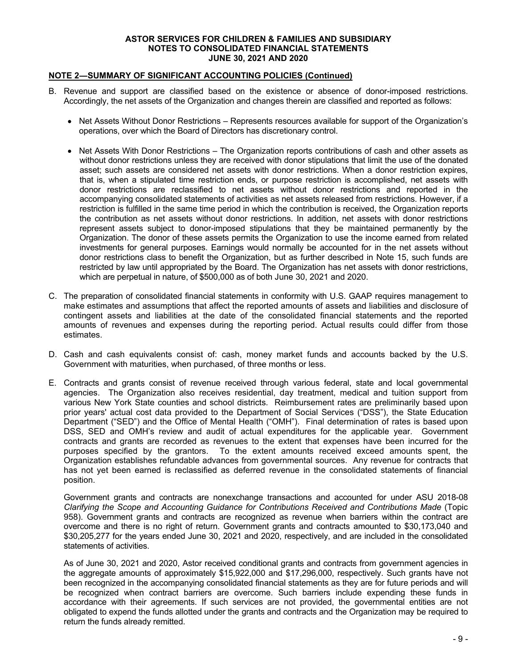#### **NOTE 2―SUMMARY OF SIGNIFICANT ACCOUNTING POLICIES (Continued)**

- B. Revenue and support are classified based on the existence or absence of donor-imposed restrictions. Accordingly, the net assets of the Organization and changes therein are classified and reported as follows:
	- Net Assets Without Donor Restrictions Represents resources available for support of the Organization's operations, over which the Board of Directors has discretionary control.
	- Net Assets With Donor Restrictions The Organization reports contributions of cash and other assets as without donor restrictions unless they are received with donor stipulations that limit the use of the donated asset; such assets are considered net assets with donor restrictions. When a donor restriction expires, that is, when a stipulated time restriction ends, or purpose restriction is accomplished, net assets with donor restrictions are reclassified to net assets without donor restrictions and reported in the accompanying consolidated statements of activities as net assets released from restrictions. However, if a restriction is fulfilled in the same time period in which the contribution is received, the Organization reports the contribution as net assets without donor restrictions. In addition, net assets with donor restrictions represent assets subject to donor-imposed stipulations that they be maintained permanently by the Organization. The donor of these assets permits the Organization to use the income earned from related investments for general purposes. Earnings would normally be accounted for in the net assets without donor restrictions class to benefit the Organization, but as further described in Note 15, such funds are restricted by law until appropriated by the Board. The Organization has net assets with donor restrictions, which are perpetual in nature, of \$500,000 as of both June 30, 2021 and 2020.
- C. The preparation of consolidated financial statements in conformity with U.S. GAAP requires management to make estimates and assumptions that affect the reported amounts of assets and liabilities and disclosure of contingent assets and liabilities at the date of the consolidated financial statements and the reported amounts of revenues and expenses during the reporting period. Actual results could differ from those estimates.
- D. Cash and cash equivalents consist of: cash, money market funds and accounts backed by the U.S. Government with maturities, when purchased, of three months or less.
- E. Contracts and grants consist of revenue received through various federal, state and local governmental agencies. The Organization also receives residential, day treatment, medical and tuition support from various New York State counties and school districts. Reimbursement rates are preliminarily based upon prior years' actual cost data provided to the Department of Social Services ("DSS"), the State Education Department ("SED") and the Office of Mental Health ("OMH"). Final determination of rates is based upon DSS, SED and OMH's review and audit of actual expenditures for the applicable year. Government contracts and grants are recorded as revenues to the extent that expenses have been incurred for the purposes specified by the grantors. To the extent amounts received exceed amounts spent, the Organization establishes refundable advances from governmental sources. Any revenue for contracts that has not yet been earned is reclassified as deferred revenue in the consolidated statements of financial position.

Government grants and contracts are nonexchange transactions and accounted for under ASU 2018-08 *Clarifying the Scope and Accounting Guidance for Contributions Received and Contributions Made* (Topic 958). Government grants and contracts are recognized as revenue when barriers within the contract are overcome and there is no right of return. Government grants and contracts amounted to \$30,173,040 and \$30,205,277 for the years ended June 30, 2021 and 2020, respectively, and are included in the consolidated statements of activities.

As of June 30, 2021 and 2020, Astor received conditional grants and contracts from government agencies in the aggregate amounts of approximately \$15,922,000 and \$17,296,000, respectively. Such grants have not been recognized in the accompanying consolidated financial statements as they are for future periods and will be recognized when contract barriers are overcome. Such barriers include expending these funds in accordance with their agreements. If such services are not provided, the governmental entities are not obligated to expend the funds allotted under the grants and contracts and the Organization may be required to return the funds already remitted.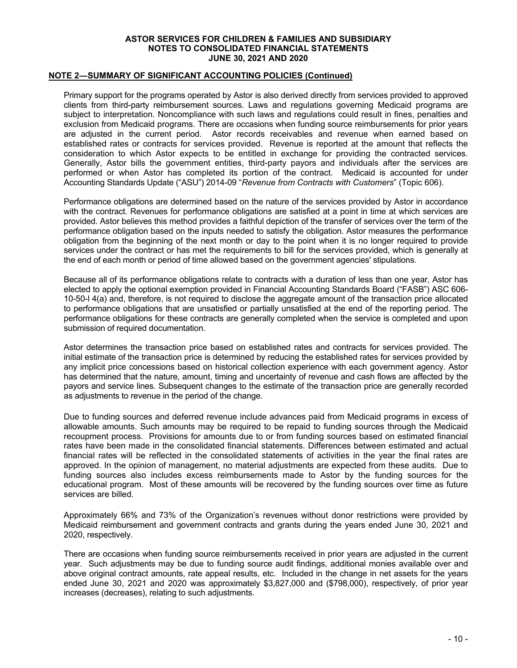#### **NOTE 2―SUMMARY OF SIGNIFICANT ACCOUNTING POLICIES (Continued)**

Primary support for the programs operated by Astor is also derived directly from services provided to approved clients from third-party reimbursement sources. Laws and regulations governing Medicaid programs are subject to interpretation. Noncompliance with such laws and regulations could result in fines, penalties and exclusion from Medicaid programs. There are occasions when funding source reimbursements for prior years are adjusted in the current period. Astor records receivables and revenue when earned based on established rates or contracts for services provided. Revenue is reported at the amount that reflects the consideration to which Astor expects to be entitled in exchange for providing the contracted services. Generally, Astor bills the government entities, third-party payors and individuals after the services are performed or when Astor has completed its portion of the contract. Medicaid is accounted for under Accounting Standards Update ("ASU") 2014-09 "*Revenue from Contracts with Customers*" (Topic 606).

Performance obligations are determined based on the nature of the services provided by Astor in accordance with the contract. Revenues for performance obligations are satisfied at a point in time at which services are provided. Astor believes this method provides a faithful depiction of the transfer of services over the term of the performance obligation based on the inputs needed to satisfy the obligation. Astor measures the performance obligation from the beginning of the next month or day to the point when it is no longer required to provide services under the contract or has met the requirements to bill for the services provided, which is generally at the end of each month or period of time allowed based on the government agencies' stipulations.

Because all of its performance obligations relate to contracts with a duration of less than one year, Astor has elected to apply the optional exemption provided in Financial Accounting Standards Board ("FASB") ASC 606- 10-50-l 4(a) and, therefore, is not required to disclose the aggregate amount of the transaction price allocated to performance obligations that are unsatisfied or partially unsatisfied at the end of the reporting period. The performance obligations for these contracts are generally completed when the service is completed and upon submission of required documentation.

Astor determines the transaction price based on established rates and contracts for services provided. The initial estimate of the transaction price is determined by reducing the established rates for services provided by any implicit price concessions based on historical collection experience with each government agency. Astor has determined that the nature, amount, timing and uncertainty of revenue and cash flows are affected by the payors and service lines. Subsequent changes to the estimate of the transaction price are generally recorded as adjustments to revenue in the period of the change.

Due to funding sources and deferred revenue include advances paid from Medicaid programs in excess of allowable amounts. Such amounts may be required to be repaid to funding sources through the Medicaid recoupment process. Provisions for amounts due to or from funding sources based on estimated financial rates have been made in the consolidated financial statements. Differences between estimated and actual financial rates will be reflected in the consolidated statements of activities in the year the final rates are approved. In the opinion of management, no material adjustments are expected from these audits. Due to funding sources also includes excess reimbursements made to Astor by the funding sources for the educational program. Most of these amounts will be recovered by the funding sources over time as future services are billed.

Approximately 66% and 73% of the Organization's revenues without donor restrictions were provided by Medicaid reimbursement and government contracts and grants during the years ended June 30, 2021 and 2020, respectively.

There are occasions when funding source reimbursements received in prior years are adjusted in the current year. Such adjustments may be due to funding source audit findings, additional monies available over and above original contract amounts, rate appeal results, etc. Included in the change in net assets for the years ended June 30, 2021 and 2020 was approximately \$3,827,000 and (\$798,000), respectively, of prior year increases (decreases), relating to such adjustments.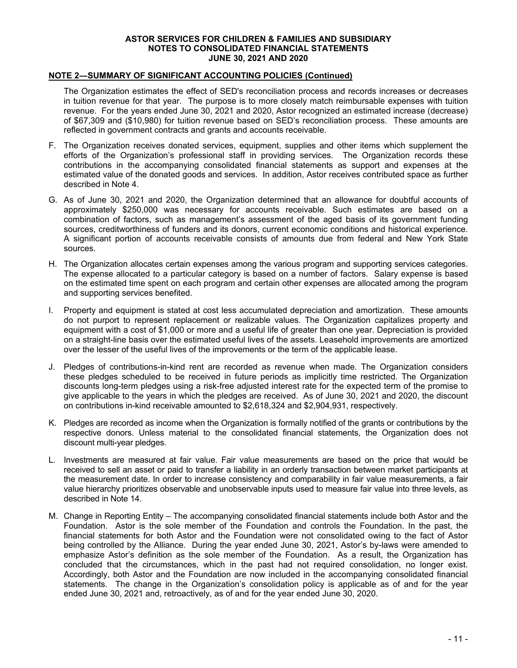#### **NOTE 2―SUMMARY OF SIGNIFICANT ACCOUNTING POLICIES (Continued)**

The Organization estimates the effect of SED's reconciliation process and records increases or decreases in tuition revenue for that year. The purpose is to more closely match reimbursable expenses with tuition revenue. For the years ended June 30, 2021 and 2020, Astor recognized an estimated increase (decrease) of \$67,309 and (\$10,980) for tuition revenue based on SED's reconciliation process. These amounts are reflected in government contracts and grants and accounts receivable.

- F. The Organization receives donated services, equipment, supplies and other items which supplement the efforts of the Organization's professional staff in providing services. The Organization records these contributions in the accompanying consolidated financial statements as support and expenses at the estimated value of the donated goods and services. In addition, Astor receives contributed space as further described in Note 4.
- G. As of June 30, 2021 and 2020, the Organization determined that an allowance for doubtful accounts of approximately \$250,000 was necessary for accounts receivable. Such estimates are based on a combination of factors, such as management's assessment of the aged basis of its government funding sources, creditworthiness of funders and its donors, current economic conditions and historical experience. A significant portion of accounts receivable consists of amounts due from federal and New York State sources.
- H. The Organization allocates certain expenses among the various program and supporting services categories. The expense allocated to a particular category is based on a number of factors. Salary expense is based on the estimated time spent on each program and certain other expenses are allocated among the program and supporting services benefited.
- I. Property and equipment is stated at cost less accumulated depreciation and amortization. These amounts do not purport to represent replacement or realizable values. The Organization capitalizes property and equipment with a cost of \$1,000 or more and a useful life of greater than one year. Depreciation is provided on a straight-line basis over the estimated useful lives of the assets. Leasehold improvements are amortized over the lesser of the useful lives of the improvements or the term of the applicable lease.
- J. Pledges of contributions-in-kind rent are recorded as revenue when made. The Organization considers these pledges scheduled to be received in future periods as implicitly time restricted. The Organization discounts long-term pledges using a risk-free adjusted interest rate for the expected term of the promise to give applicable to the years in which the pledges are received. As of June 30, 2021 and 2020, the discount on contributions in-kind receivable amounted to \$2,618,324 and \$2,904,931, respectively.
- K. Pledges are recorded as income when the Organization is formally notified of the grants or contributions by the respective donors. Unless material to the consolidated financial statements, the Organization does not discount multi-year pledges.
- L. Investments are measured at fair value. Fair value measurements are based on the price that would be received to sell an asset or paid to transfer a liability in an orderly transaction between market participants at the measurement date. In order to increase consistency and comparability in fair value measurements, a fair value hierarchy prioritizes observable and unobservable inputs used to measure fair value into three levels, as described in Note 14.
- M. Change in Reporting Entity The accompanying consolidated financial statements include both Astor and the Foundation. Astor is the sole member of the Foundation and controls the Foundation. In the past, the financial statements for both Astor and the Foundation were not consolidated owing to the fact of Astor being controlled by the Alliance. During the year ended June 30, 2021, Astor's by-laws were amended to emphasize Astor's definition as the sole member of the Foundation. As a result, the Organization has concluded that the circumstances, which in the past had not required consolidation, no longer exist. Accordingly, both Astor and the Foundation are now included in the accompanying consolidated financial statements. The change in the Organization's consolidation policy is applicable as of and for the year ended June 30, 2021 and, retroactively, as of and for the year ended June 30, 2020.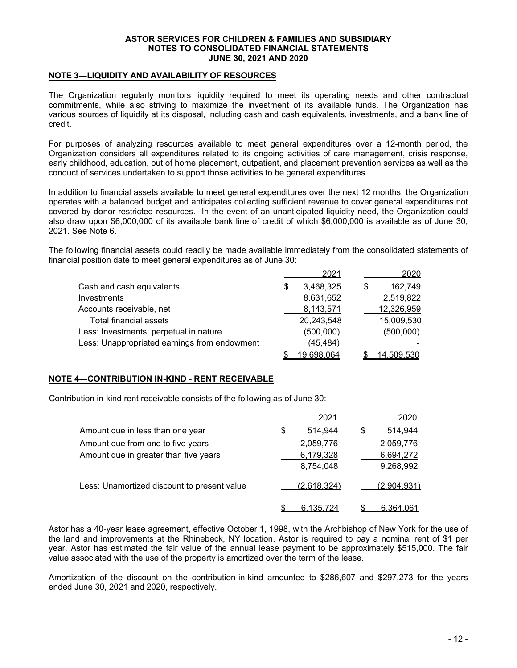#### **NOTE 3―LIQUIDITY AND AVAILABILITY OF RESOURCES**

The Organization regularly monitors liquidity required to meet its operating needs and other contractual commitments, while also striving to maximize the investment of its available funds. The Organization has various sources of liquidity at its disposal, including cash and cash equivalents, investments, and a bank line of credit.

For purposes of analyzing resources available to meet general expenditures over a 12-month period, the Organization considers all expenditures related to its ongoing activities of care management, crisis response, early childhood, education, out of home placement, outpatient, and placement prevention services as well as the conduct of services undertaken to support those activities to be general expenditures.

In addition to financial assets available to meet general expenditures over the next 12 months, the Organization operates with a balanced budget and anticipates collecting sufficient revenue to cover general expenditures not covered by donor-restricted resources. In the event of an unanticipated liquidity need, the Organization could also draw upon \$6,000,000 of its available bank line of credit of which \$6,000,000 is available as of June 30, 2021. See Note 6.

The following financial assets could readily be made available immediately from the consolidated statements of financial position date to meet general expenditures as of June 30:

|                                              |   | 2021       |   | 2020              |
|----------------------------------------------|---|------------|---|-------------------|
| Cash and cash equivalents                    | S | 3,468,325  | S | 162,749           |
| Investments                                  |   | 8,631,652  |   | 2,519,822         |
| Accounts receivable, net                     |   | 8,143,571  |   | 12,326,959        |
| <b>Total financial assets</b>                |   | 20,243,548 |   | 15,009,530        |
| Less: Investments, perpetual in nature       |   | (500,000)  |   | (500,000)         |
| Less: Unappropriated earnings from endowment |   | (45, 484)  |   |                   |
|                                              |   | 19,698,064 |   | <u>14,509,530</u> |

#### **NOTE 4―CONTRIBUTION IN-KIND - RENT RECEIVABLE**

Contribution in-kind rent receivable consists of the following as of June 30:

|                                             | 2021            | 2020          |
|---------------------------------------------|-----------------|---------------|
| Amount due in less than one year            | \$<br>514,944   | \$<br>514,944 |
| Amount due from one to five years           | 2,059,776       | 2,059,776     |
| Amount due in greater than five years       | 6,179,328       | 6,694,272     |
|                                             | 8,754,048       | 9,268,992     |
| Less: Unamortized discount to present value | (2,618,324)     | (2,904,931)   |
|                                             | \$<br>6.135.724 | 6,364,061     |

Astor has a 40-year lease agreement, effective October 1, 1998, with the Archbishop of New York for the use of the land and improvements at the Rhinebeck, NY location. Astor is required to pay a nominal rent of \$1 per year. Astor has estimated the fair value of the annual lease payment to be approximately \$515,000. The fair value associated with the use of the property is amortized over the term of the lease.

Amortization of the discount on the contribution-in-kind amounted to \$286,607 and \$297,273 for the years ended June 30, 2021 and 2020, respectively.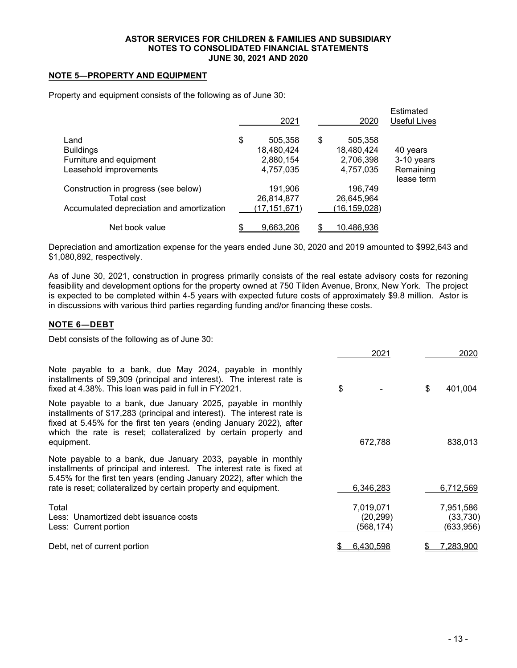#### **NOTE 5―PROPERTY AND EQUIPMENT**

Property and equipment consists of the following as of June 30:

|                                           | 2021           | 2020              | Estimated<br><b>Useful Lives</b> |
|-------------------------------------------|----------------|-------------------|----------------------------------|
| Land                                      | \$<br>505,358  | \$<br>505,358     |                                  |
| <b>Buildings</b>                          | 18,480,424     | 18,480,424        | 40 years                         |
| Furniture and equipment                   | 2,880,154      | 2,706,398         | 3-10 years                       |
| Leasehold improvements                    | 4,757,035      | 4,757,035         | Remaining                        |
|                                           |                |                   | lease term                       |
| Construction in progress (see below)      | 191,906        | 196,749           |                                  |
| Total cost                                | 26,814,877     | 26,645,964        |                                  |
| Accumulated depreciation and amortization | (17, 151, 671) | (16, 159, 028)    |                                  |
| Net book value                            | 9,663,206      | <u>10,486,936</u> |                                  |

Depreciation and amortization expense for the years ended June 30, 2020 and 2019 amounted to \$992,643 and \$1,080,892, respectively.

As of June 30, 2021, construction in progress primarily consists of the real estate advisory costs for rezoning feasibility and development options for the property owned at 750 Tilden Avenue, Bronx, New York. The project is expected to be completed within 4-5 years with expected future costs of approximately \$9.8 million. Astor is in discussions with various third parties regarding funding and/or financing these costs.

#### **NOTE 6―DEBT**

Debt consists of the following as of June 30:

|                                                                                                                                                                                                                                                                                                 | 2021                                | 2020                               |
|-------------------------------------------------------------------------------------------------------------------------------------------------------------------------------------------------------------------------------------------------------------------------------------------------|-------------------------------------|------------------------------------|
| Note payable to a bank, due May 2024, payable in monthly<br>installments of \$9,309 (principal and interest). The interest rate is<br>fixed at 4.38%. This loan was paid in full in FY2021.                                                                                                     | \$                                  | \$<br>401,004                      |
| Note payable to a bank, due January 2025, payable in monthly<br>installments of \$17,283 (principal and interest). The interest rate is<br>fixed at 5.45% for the first ten years (ending January 2022), after<br>which the rate is reset; collateralized by certain property and<br>equipment. | 672,788                             | 838,013                            |
| Note payable to a bank, due January 2033, payable in monthly<br>installments of principal and interest. The interest rate is fixed at<br>5.45% for the first ten years (ending January 2022), after which the<br>rate is reset; collateralized by certain property and equipment.               | 6,346,283                           | 6,712,569                          |
| Total<br>Less: Unamortized debt issuance costs<br>Less: Current portion                                                                                                                                                                                                                         | 7,019,071<br>(20, 299)<br>(568,174) | 7,951,586<br>(33,730)<br>(633,956) |
| Debt, net of current portion                                                                                                                                                                                                                                                                    | 6.430.598                           | 7.283.900                          |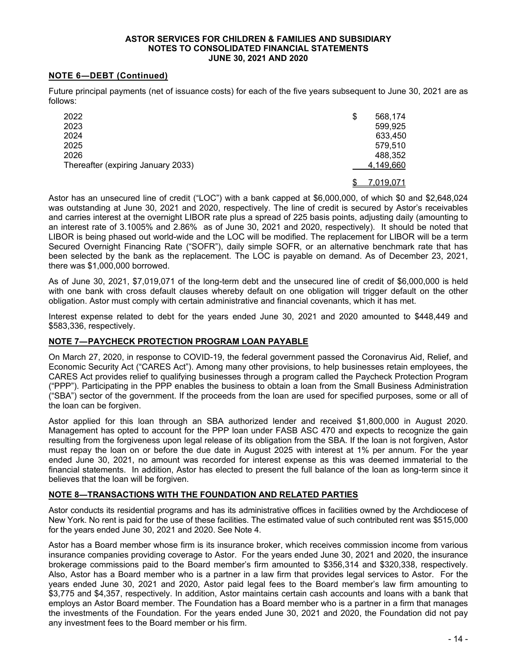#### **NOTE 6―DEBT (Continued)**

Future principal payments (net of issuance costs) for each of the five years subsequent to June 30, 2021 are as follows:

| 2022                               | \$<br>568,174 |
|------------------------------------|---------------|
| 2023                               | 599,925       |
| 2024                               | 633,450       |
| 2025                               | 579,510       |
| 2026                               | 488,352       |
| Thereafter (expiring January 2033) | 4,149,660     |
|                                    | 7.019.071     |

Astor has an unsecured line of credit ("LOC") with a bank capped at \$6,000,000, of which \$0 and \$2,648,024 was outstanding at June 30, 2021 and 2020, respectively. The line of credit is secured by Astor's receivables and carries interest at the overnight LIBOR rate plus a spread of 225 basis points, adjusting daily (amounting to an interest rate of 3.1005% and 2.86% as of June 30, 2021 and 2020, respectively). It should be noted that LIBOR is being phased out world-wide and the LOC will be modified. The replacement for LIBOR will be a term Secured Overnight Financing Rate ("SOFR"), daily simple SOFR, or an alternative benchmark rate that has been selected by the bank as the replacement. The LOC is payable on demand. As of December 23, 2021, there was \$1,000,000 borrowed.

As of June 30, 2021, \$7,019,071 of the long-term debt and the unsecured line of credit of \$6,000,000 is held with one bank with cross default clauses whereby default on one obligation will trigger default on the other obligation. Astor must comply with certain administrative and financial covenants, which it has met.

Interest expense related to debt for the years ended June 30, 2021 and 2020 amounted to \$448,449 and \$583,336, respectively.

#### **NOTE 7―PAYCHECK PROTECTION PROGRAM LOAN PAYABLE**

On March 27, 2020, in response to COVID-19, the federal government passed the Coronavirus Aid, Relief, and Economic Security Act ("CARES Act"). Among many other provisions, to help businesses retain employees, the CARES Act provides relief to qualifying businesses through a program called the Paycheck Protection Program ("PPP"). Participating in the PPP enables the business to obtain a loan from the Small Business Administration ("SBA") sector of the government. If the proceeds from the loan are used for specified purposes, some or all of the loan can be forgiven.

Astor applied for this loan through an SBA authorized lender and received \$1,800,000 in August 2020. Management has opted to account for the PPP loan under FASB ASC 470 and expects to recognize the gain resulting from the forgiveness upon legal release of its obligation from the SBA. If the loan is not forgiven, Astor must repay the loan on or before the due date in August 2025 with interest at 1% per annum. For the year ended June 30, 2021, no amount was recorded for interest expense as this was deemed immaterial to the financial statements. In addition, Astor has elected to present the full balance of the loan as long-term since it believes that the loan will be forgiven.

#### **NOTE 8―TRANSACTIONS WITH THE FOUNDATION AND RELATED PARTIES**

Astor conducts its residential programs and has its administrative offices in facilities owned by the Archdiocese of New York. No rent is paid for the use of these facilities. The estimated value of such contributed rent was \$515,000 for the years ended June 30, 2021 and 2020. See Note 4.

Astor has a Board member whose firm is its insurance broker, which receives commission income from various insurance companies providing coverage to Astor. For the years ended June 30, 2021 and 2020, the insurance brokerage commissions paid to the Board member's firm amounted to \$356,314 and \$320,338, respectively. Also, Astor has a Board member who is a partner in a law firm that provides legal services to Astor. For the years ended June 30, 2021 and 2020, Astor paid legal fees to the Board member's law firm amounting to \$3,775 and \$4,357, respectively. In addition, Astor maintains certain cash accounts and loans with a bank that employs an Astor Board member. The Foundation has a Board member who is a partner in a firm that manages the investments of the Foundation. For the years ended June 30, 2021 and 2020, the Foundation did not pay any investment fees to the Board member or his firm.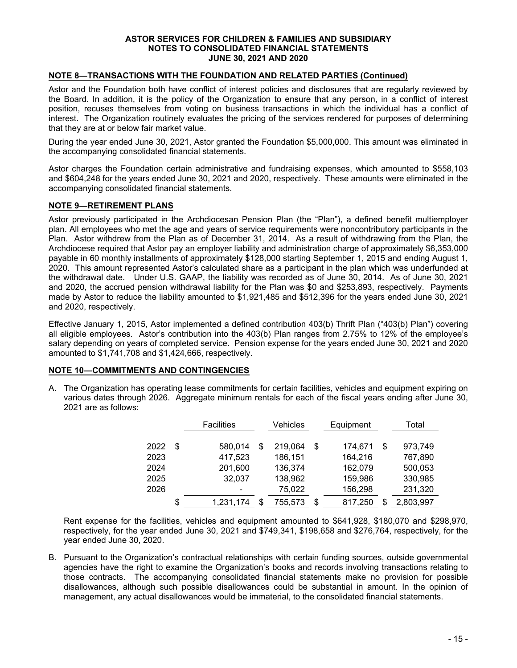#### **NOTE 8―TRANSACTIONS WITH THE FOUNDATION AND RELATED PARTIES (Continued)**

Astor and the Foundation both have conflict of interest policies and disclosures that are regularly reviewed by the Board. In addition, it is the policy of the Organization to ensure that any person, in a conflict of interest position, recuses themselves from voting on business transactions in which the individual has a conflict of interest. The Organization routinely evaluates the pricing of the services rendered for purposes of determining that they are at or below fair market value.

During the year ended June 30, 2021, Astor granted the Foundation \$5,000,000. This amount was eliminated in the accompanying consolidated financial statements.

Astor charges the Foundation certain administrative and fundraising expenses, which amounted to \$558,103 and \$604,248 for the years ended June 30, 2021 and 2020, respectively. These amounts were eliminated in the accompanying consolidated financial statements.

#### **NOTE 9―RETIREMENT PLANS**

Astor previously participated in the Archdiocesan Pension Plan (the "Plan"), a defined benefit multiemployer plan. All employees who met the age and years of service requirements were noncontributory participants in the Plan. Astor withdrew from the Plan as of December 31, 2014. As a result of withdrawing from the Plan, the Archdiocese required that Astor pay an employer liability and administration charge of approximately \$6,353,000 payable in 60 monthly installments of approximately \$128,000 starting September 1, 2015 and ending August 1, 2020. This amount represented Astor's calculated share as a participant in the plan which was underfunded at the withdrawal date. Under U.S. GAAP, the liability was recorded as of June 30, 2014. As of June 30, 2021 and 2020, the accrued pension withdrawal liability for the Plan was \$0 and \$253,893, respectively. Payments made by Astor to reduce the liability amounted to \$1,921,485 and \$512,396 for the years ended June 30, 2021 and 2020, respectively.

Effective January 1, 2015, Astor implemented a defined contribution 403(b) Thrift Plan ("403(b) Plan") covering all eligible employees. Astor's contribution into the 403(b) Plan ranges from 2.75% to 12% of the employee's salary depending on years of completed service. Pension expense for the years ended June 30, 2021 and 2020 amounted to \$1,741,708 and \$1,424,666, respectively.

#### **NOTE 10―COMMITMENTS AND CONTINGENCIES**

A. The Organization has operating lease commitments for certain facilities, vehicles and equipment expiring on various dates through 2026. Aggregate minimum rentals for each of the fiscal years ending after June 30, 2021 are as follows:

|      |    | <b>Facilities</b> |     | Vehicles |   | Equipment |    | Total     |
|------|----|-------------------|-----|----------|---|-----------|----|-----------|
|      |    |                   |     |          |   |           |    |           |
| 2022 | S  | 580,014           | S   | 219,064  | S | 174,671   | \$ | 973,749   |
| 2023 |    | 417,523           |     | 186,151  |   | 164,216   |    | 767,890   |
| 2024 |    | 201,600           |     | 136,374  |   | 162,079   |    | 500,053   |
| 2025 |    | 32,037            |     | 138,962  |   | 159,986   |    | 330,985   |
| 2026 |    |                   |     | 75,022   |   | 156,298   |    | 231,320   |
|      | \$ | 1,231,174         | \$. | 755,573  | S | 817,250   | S  | 2,803,997 |

Rent expense for the facilities, vehicles and equipment amounted to \$641,928, \$180,070 and \$298,970, respectively, for the year ended June 30, 2021 and \$749,341, \$198,658 and \$276,764, respectively, for the year ended June 30, 2020.

B. Pursuant to the Organization's contractual relationships with certain funding sources, outside governmental agencies have the right to examine the Organization's books and records involving transactions relating to those contracts. The accompanying consolidated financial statements make no provision for possible disallowances, although such possible disallowances could be substantial in amount. In the opinion of management, any actual disallowances would be immaterial, to the consolidated financial statements.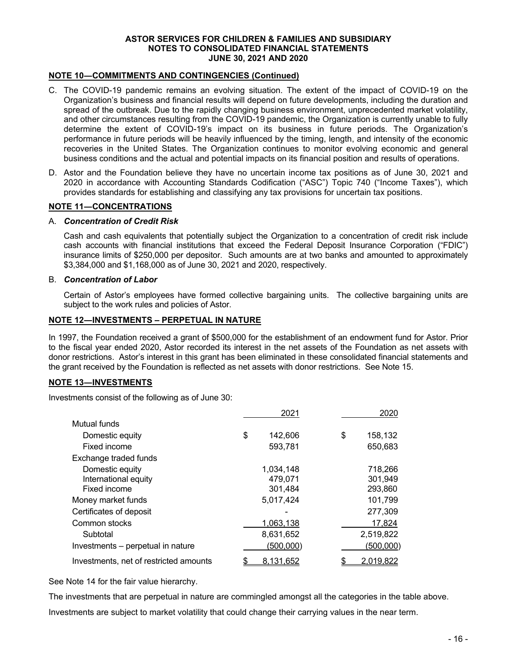#### **NOTE 10―COMMITMENTS AND CONTINGENCIES (Continued)**

- C. The COVID-19 pandemic remains an evolving situation. The extent of the impact of COVID-19 on the Organization's business and financial results will depend on future developments, including the duration and spread of the outbreak. Due to the rapidly changing business environment, unprecedented market volatility, and other circumstances resulting from the COVID-19 pandemic, the Organization is currently unable to fully determine the extent of COVID-19's impact on its business in future periods. The Organization's performance in future periods will be heavily influenced by the timing, length, and intensity of the economic recoveries in the United States. The Organization continues to monitor evolving economic and general business conditions and the actual and potential impacts on its financial position and results of operations.
- D. Astor and the Foundation believe they have no uncertain income tax positions as of June 30, 2021 and 2020 in accordance with Accounting Standards Codification ("ASC") Topic 740 ("Income Taxes"), which provides standards for establishing and classifying any tax provisions for uncertain tax positions.

#### **NOTE 11―CONCENTRATIONS**

#### A. *Concentration of Credit Risk*

Cash and cash equivalents that potentially subject the Organization to a concentration of credit risk include cash accounts with financial institutions that exceed the Federal Deposit Insurance Corporation ("FDIC") insurance limits of \$250,000 per depositor. Such amounts are at two banks and amounted to approximately \$3,384,000 and \$1,168,000 as of June 30, 2021 and 2020, respectively.

#### B. *Concentration of Labor*

Certain of Astor's employees have formed collective bargaining units. The collective bargaining units are subject to the work rules and policies of Astor.

#### **NOTE 12―INVESTMENTS – PERPETUAL IN NATURE**

In 1997, the Foundation received a grant of \$500,000 for the establishment of an endowment fund for Astor. Prior to the fiscal year ended 2020, Astor recorded its interest in the net assets of the Foundation as net assets with donor restrictions. Astor's interest in this grant has been eliminated in these consolidated financial statements and the grant received by the Foundation is reflected as net assets with donor restrictions. See Note 15.

#### **NOTE 13―INVESTMENTS**

Investments consist of the following as of June 30:

|                                        | 2021          | 2020             |
|----------------------------------------|---------------|------------------|
| Mutual funds                           |               |                  |
| Domestic equity                        | \$<br>142,606 | \$<br>158,132    |
| Fixed income                           | 593,781       | 650,683          |
| Exchange traded funds                  |               |                  |
| Domestic equity                        | 1,034,148     | 718.266          |
| International equity                   | 479,071       | 301,949          |
| Fixed income                           | 301,484       | 293,860          |
| Money market funds                     | 5,017,424     | 101,799          |
| Certificates of deposit                |               | 277,309          |
| Common stocks                          | 1,063,138     | 17,824           |
| Subtotal                               | 8,631,652     | 2,519,822        |
| Investments - perpetual in nature      | (500,000)     | (500,000)        |
| Investments, net of restricted amounts | 8,131,652     | <u>2,019,822</u> |

See Note 14 for the fair value hierarchy.

The investments that are perpetual in nature are commingled amongst all the categories in the table above. Investments are subject to market volatility that could change their carrying values in the near term.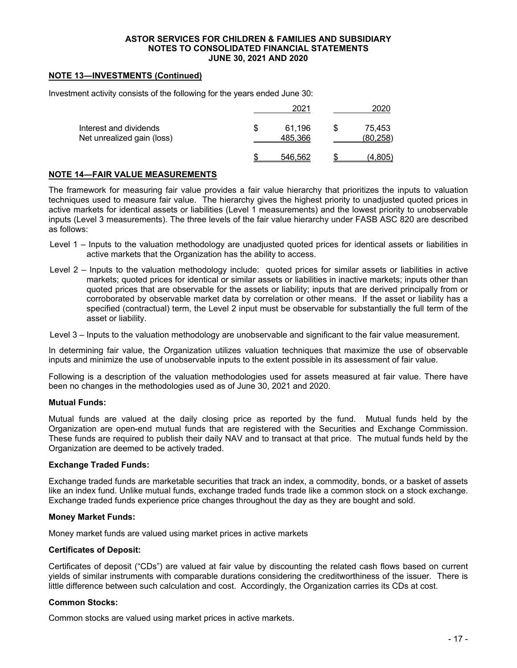#### **NOTE 13―INVESTMENTS (Continued)**

Investment activity consists of the following for the years ended June 30:

|                                                      | 2021                    |   | 2020                |
|------------------------------------------------------|-------------------------|---|---------------------|
| Interest and dividends<br>Net unrealized gain (loss) | \$<br>61,196<br>485,366 | S | 75,453<br>(80, 258) |
|                                                      | 546.562                 |   | (4.805)             |

#### **NOTE 14―FAIR VALUE MEASUREMENTS**

The framework for measuring fair value provides a fair value hierarchy that prioritizes the inputs to valuation techniques used to measure fair value. The hierarchy gives the highest priority to unadjusted quoted prices in active markets for identical assets or liabilities (Level 1 measurements) and the lowest priority to unobservable inputs (Level 3 measurements). The three levels of the fair value hierarchy under FASB ASC 820 are described as follows:

- Level 1 Inputs to the valuation methodology are unadjusted quoted prices for identical assets or liabilities in active markets that the Organization has the ability to access.
- Level 2 Inputs to the valuation methodology include: quoted prices for similar assets or liabilities in active markets; quoted prices for identical or similar assets or liabilities in inactive markets; inputs other than quoted prices that are observable for the assets or liability; inputs that are derived principally from or corroborated by observable market data by correlation or other means. If the asset or liability has a specified (contractual) term, the Level 2 input must be observable for substantially the full term of the asset or liability.

Level 3 – Inputs to the valuation methodology are unobservable and significant to the fair value measurement.

In determining fair value, the Organization utilizes valuation techniques that maximize the use of observable inputs and minimize the use of unobservable inputs to the extent possible in its assessment of fair value.

Following is a description of the valuation methodologies used for assets measured at fair value. There have been no changes in the methodologies used as of June 30, 2021 and 2020.

#### **Mutual Funds:**

Mutual funds are valued at the daily closing price as reported by the fund. Mutual funds held by the Organization are open-end mutual funds that are registered with the Securities and Exchange Commission. These funds are required to publish their daily NAV and to transact at that price. The mutual funds held by the Organization are deemed to be actively traded.

#### **Exchange Traded Funds:**

Exchange traded funds are marketable securities that track an index, a commodity, bonds, or a basket of assets like an index fund. Unlike mutual funds, exchange traded funds trade like a common stock on a stock exchange. Exchange traded funds experience price changes throughout the day as they are bought and sold.

#### **Money Market Funds:**

Money market funds are valued using market prices in active markets

#### **Certificates of Deposit:**

Certificates of deposit ("CDs") are valued at fair value by discounting the related cash flows based on current yields of similar instruments with comparable durations considering the creditworthiness of the issuer. There is little difference between such calculation and cost. Accordingly, the Organization carries its CDs at cost.

#### **Common Stocks:**

Common stocks are valued using market prices in active markets.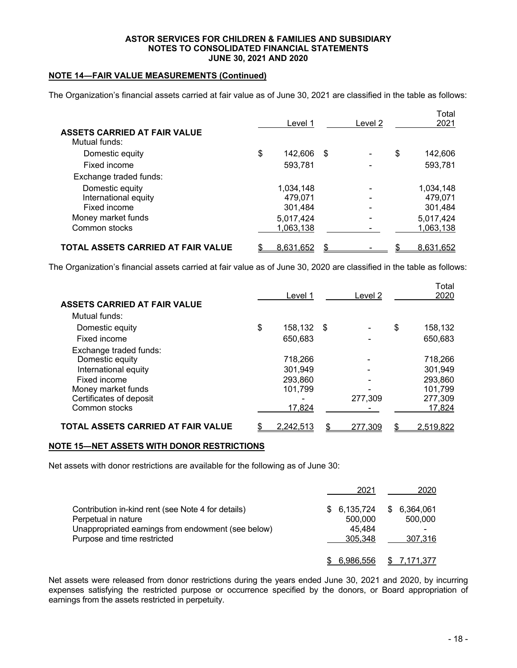#### **NOTE 14―FAIR VALUE MEASUREMENTS (Continued)**

The Organization's financial assets carried at fair value as of June 30, 2021 are classified in the table as follows:

| <b>ASSETS CARRIED AT FAIR VALUE</b><br>Mutual funds: | Level 1          |     | Level 2 | Total<br>2021 |
|------------------------------------------------------|------------------|-----|---------|---------------|
| Domestic equity                                      | \$<br>142,606    | -\$ |         | \$<br>142,606 |
| Fixed income                                         | 593,781          |     |         | 593,781       |
| Exchange traded funds:                               |                  |     |         |               |
| Domestic equity                                      | 1,034,148        |     |         | 1,034,148     |
| International equity                                 | 479,071          |     |         | 479,071       |
| Fixed income                                         | 301,484          |     | -       | 301,484       |
| Money market funds                                   | 5,017,424        |     |         | 5,017,424     |
| Common stocks                                        | 1,063,138        |     |         | 1,063,138     |
| TOTAL ASSETS CARRIED AT FAIR VALUE                   | <u>8,631,652</u> | \$  |         | 8,631,652     |

The Organization's financial assets carried at fair value as of June 30, 2020 are classified in the table as follows:

| <b>ASSETS CARRIED AT FAIR VALUE</b><br>Mutual funds:                                                                                                | Level 1                                            |      | Level 2 | Total<br>2020                                                 |
|-----------------------------------------------------------------------------------------------------------------------------------------------------|----------------------------------------------------|------|---------|---------------------------------------------------------------|
| Domestic equity                                                                                                                                     | \$<br>158,132                                      | - \$ |         | \$<br>158,132                                                 |
| Fixed income                                                                                                                                        | 650,683                                            |      |         | 650,683                                                       |
| Exchange traded funds:<br>Domestic equity<br>International equity<br>Fixed income<br>Money market funds<br>Certificates of deposit<br>Common stocks | 718,266<br>301,949<br>293,860<br>101,799<br>17,824 |      | 277,309 | 718,266<br>301,949<br>293,860<br>101,799<br>277,309<br>17,824 |
| TOTAL ASSETS CARRIED AT FAIR VALUE                                                                                                                  | 2.242,513                                          | S    | 277.309 | 2.519.822                                                     |

#### **NOTE 15―NET ASSETS WITH DONOR RESTRICTIONS**

Net assets with donor restrictions are available for the following as of June 30:

|                                                                                                                                                                | 2021                                        | 2020                                  |
|----------------------------------------------------------------------------------------------------------------------------------------------------------------|---------------------------------------------|---------------------------------------|
| Contribution in-kind rent (see Note 4 for details)<br>Perpetual in nature<br>Unappropriated earnings from endowment (see below)<br>Purpose and time restricted | \$6,135,724<br>500,000<br>45.484<br>305.348 | 6.364.061<br>S.<br>500,000<br>307,316 |
|                                                                                                                                                                | 6,986,556                                   | 7,171,377                             |

Net assets were released from donor restrictions during the years ended June 30, 2021 and 2020, by incurring expenses satisfying the restricted purpose or occurrence specified by the donors, or Board appropriation of earnings from the assets restricted in perpetuity.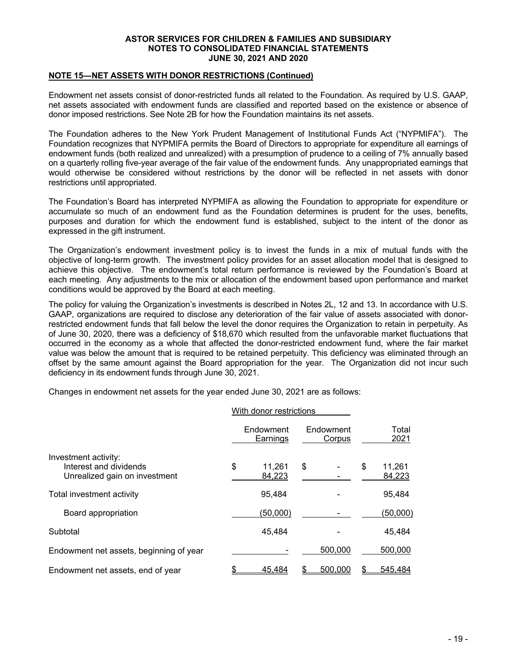#### **NOTE 15―NET ASSETS WITH DONOR RESTRICTIONS (Continued)**

Endowment net assets consist of donor-restricted funds all related to the Foundation. As required by U.S. GAAP, net assets associated with endowment funds are classified and reported based on the existence or absence of donor imposed restrictions. See Note 2B for how the Foundation maintains its net assets.

The Foundation adheres to the New York Prudent Management of Institutional Funds Act ("NYPMIFA"). The Foundation recognizes that NYPMIFA permits the Board of Directors to appropriate for expenditure all earnings of endowment funds (both realized and unrealized) with a presumption of prudence to a ceiling of 7% annually based on a quarterly rolling five-year average of the fair value of the endowment funds. Any unappropriated earnings that would otherwise be considered without restrictions by the donor will be reflected in net assets with donor restrictions until appropriated.

The Foundation's Board has interpreted NYPMIFA as allowing the Foundation to appropriate for expenditure or accumulate so much of an endowment fund as the Foundation determines is prudent for the uses, benefits, purposes and duration for which the endowment fund is established, subject to the intent of the donor as expressed in the gift instrument.

The Organization's endowment investment policy is to invest the funds in a mix of mutual funds with the objective of long-term growth. The investment policy provides for an asset allocation model that is designed to achieve this objective. The endowment's total return performance is reviewed by the Foundation's Board at each meeting. Any adjustments to the mix or allocation of the endowment based upon performance and market conditions would be approved by the Board at each meeting.

The policy for valuing the Organization's investments is described in Notes 2L, 12 and 13. In accordance with U.S. GAAP, organizations are required to disclose any deterioration of the fair value of assets associated with donorrestricted endowment funds that fall below the level the donor requires the Organization to retain in perpetuity. As of June 30, 2020, there was a deficiency of \$18,670 which resulted from the unfavorable market fluctuations that occurred in the economy as a whole that affected the donor-restricted endowment fund, where the fair market value was below the amount that is required to be retained perpetuity. This deficiency was eliminated through an offset by the same amount against the Board appropriation for the year. The Organization did not incur such deficiency in its endowment funds through June 30, 2021.

Changes in endowment net assets for the year ended June 30, 2021 are as follows:

|                                                                                 | With donor restrictions |    |                     |                        |
|---------------------------------------------------------------------------------|-------------------------|----|---------------------|------------------------|
|                                                                                 | Endowment<br>Earnings   |    | Endowment<br>Corpus | Total<br>2021          |
| Investment activity:<br>Interest and dividends<br>Unrealized gain on investment | \$<br>11,261<br>84,223  | \$ |                     | \$<br>11,261<br>84,223 |
| Total investment activity                                                       | 95,484                  |    |                     | 95,484                 |
| Board appropriation                                                             | (50,000)                |    |                     | (50,000)               |
| Subtotal                                                                        | 45,484                  |    |                     | 45.484                 |
| Endowment net assets, beginning of year                                         |                         |    | 500,000             | 500,000                |
| Endowment net assets, end of year                                               | 45.484                  | S  | 500,000             | 545,484                |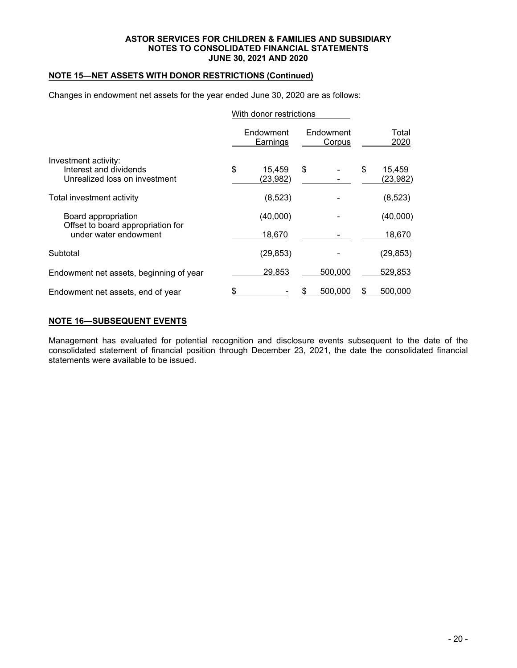#### **NOTE 15―NET ASSETS WITH DONOR RESTRICTIONS (Continued)**

Changes in endowment net assets for the year ended June 30, 2020 are as follows:

|                                                                                 | With donor restrictions  |    |                     |    |                     |
|---------------------------------------------------------------------------------|--------------------------|----|---------------------|----|---------------------|
|                                                                                 | Endowment<br>Earnings    |    | Endowment<br>Corpus |    | Total<br>2020       |
| Investment activity:<br>Interest and dividends<br>Unrealized loss on investment | \$<br>15,459<br>(23,982) | \$ |                     | \$ | 15,459<br>(23, 982) |
| Total investment activity                                                       | (8,523)                  |    |                     |    | (8,523)             |
| Board appropriation                                                             | (40,000)                 |    |                     |    | (40,000)            |
| Offset to board appropriation for<br>under water endowment                      | 18,670                   |    |                     |    | 18,670              |
| Subtotal                                                                        | (29, 853)                |    |                     |    | (29, 853)           |
| Endowment net assets, beginning of year                                         | 29,853                   |    | 500,000             |    | 529,853             |
| Endowment net assets, end of year                                               |                          |    | 500,000             | S  | 500,000             |

#### **NOTE 16―SUBSEQUENT EVENTS**

Management has evaluated for potential recognition and disclosure events subsequent to the date of the consolidated statement of financial position through December 23, 2021, the date the consolidated financial statements were available to be issued.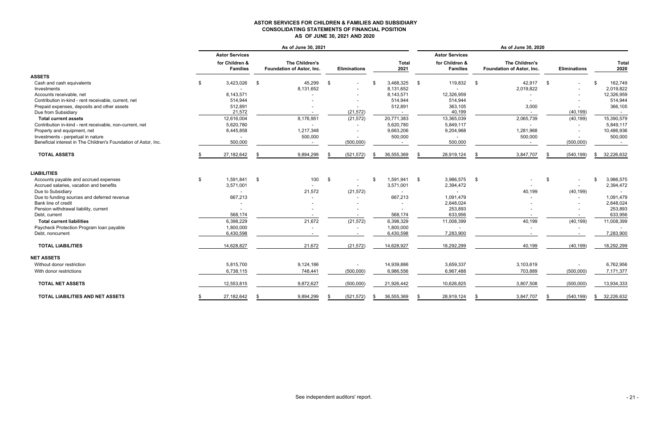#### **ASTOR SERVICES FOR CHILDREN & FAMILIES AND SUBSIDIARY CONSOLIDATING STATEMENTS OF FINANCIAL POSITION AS OF JUNE 30, 2021 AND 2020**

| <b>Astor Services</b><br><b>Astor Services</b><br><b>The Children's</b><br>The Children's<br>for Children &<br><b>Total</b><br>for Children &<br><b>Families</b><br>Foundation of Astor, Inc.<br><b>Eliminations</b><br>2021<br><b>Families</b><br>Foundation of Astor, Inc.<br><b>Eliminations</b><br><b>ASSETS</b><br>3,423,026<br>45,299<br>3,468,325<br>119,832<br>\$<br>42,917<br>- \$<br>- \$<br>-\$<br>-\$<br>Cash and cash equivalents<br>\$<br>ዳ<br>8,131,652<br>2,019,822<br>8,131,652<br>Investments<br>8,143,571<br>8,143,571<br>12,326,959<br>Accounts receivable, net<br>$\overline{\phantom{a}}$<br>514,944<br>Contribution in-kind - rent receivable, current, net<br>514,944<br>514,944<br>512,891<br>512,891<br>363,105<br>3,000<br>Prepaid expenses, deposits and other assets<br>$\overline{\phantom{a}}$<br>$\overline{\phantom{a}}$<br>21,572<br>(21, 572)<br>40,199<br>(40, 199)<br>Due from Subsidiary<br>8,176,951<br>12,616,004<br>(21, 572)<br>20,771,383<br>13,365,039<br>2,065,739<br>(40, 199)<br><b>Total current assets</b><br>5,620,780<br>5,620,780<br>5,849,117<br>Contribution in-kind - rent receivable, non-current, net<br>$\blacksquare$<br>1,217,348<br>9,663,206<br>9,204,968<br>1,281,968<br>8,445,858<br>Property and equipment, net<br>$\overline{\phantom{a}}$<br>$\overline{\phantom{a}}$<br>500,000<br>500,000<br>500,000<br>Investments - perpetual in nature<br>$\blacksquare$<br>$\overline{\phantom{0}}$<br>$\blacksquare$<br>$\blacksquare$<br>Beneficial interest in The Children's Foundation of Astor, Inc.<br>500,000<br>(500,000)<br>500,000<br>(500,000)<br>$\sim$<br>9,894,299<br><b>TOTAL ASSETS</b><br>27,182,642<br>(521, 572)<br>36,555,369<br>28,919,124<br>3,847,707<br>(540, 199) |                      |
|------------------------------------------------------------------------------------------------------------------------------------------------------------------------------------------------------------------------------------------------------------------------------------------------------------------------------------------------------------------------------------------------------------------------------------------------------------------------------------------------------------------------------------------------------------------------------------------------------------------------------------------------------------------------------------------------------------------------------------------------------------------------------------------------------------------------------------------------------------------------------------------------------------------------------------------------------------------------------------------------------------------------------------------------------------------------------------------------------------------------------------------------------------------------------------------------------------------------------------------------------------------------------------------------------------------------------------------------------------------------------------------------------------------------------------------------------------------------------------------------------------------------------------------------------------------------------------------------------------------------------------------------------------------------------------------------------------------------------------------------------|----------------------|
|                                                                                                                                                                                                                                                                                                                                                                                                                                                                                                                                                                                                                                                                                                                                                                                                                                                                                                                                                                                                                                                                                                                                                                                                                                                                                                                                                                                                                                                                                                                                                                                                                                                                                                                                                      |                      |
|                                                                                                                                                                                                                                                                                                                                                                                                                                                                                                                                                                                                                                                                                                                                                                                                                                                                                                                                                                                                                                                                                                                                                                                                                                                                                                                                                                                                                                                                                                                                                                                                                                                                                                                                                      | <b>Total</b><br>2020 |
|                                                                                                                                                                                                                                                                                                                                                                                                                                                                                                                                                                                                                                                                                                                                                                                                                                                                                                                                                                                                                                                                                                                                                                                                                                                                                                                                                                                                                                                                                                                                                                                                                                                                                                                                                      |                      |
|                                                                                                                                                                                                                                                                                                                                                                                                                                                                                                                                                                                                                                                                                                                                                                                                                                                                                                                                                                                                                                                                                                                                                                                                                                                                                                                                                                                                                                                                                                                                                                                                                                                                                                                                                      | 162,749              |
|                                                                                                                                                                                                                                                                                                                                                                                                                                                                                                                                                                                                                                                                                                                                                                                                                                                                                                                                                                                                                                                                                                                                                                                                                                                                                                                                                                                                                                                                                                                                                                                                                                                                                                                                                      | 2,019,822            |
|                                                                                                                                                                                                                                                                                                                                                                                                                                                                                                                                                                                                                                                                                                                                                                                                                                                                                                                                                                                                                                                                                                                                                                                                                                                                                                                                                                                                                                                                                                                                                                                                                                                                                                                                                      | 12,326,959           |
|                                                                                                                                                                                                                                                                                                                                                                                                                                                                                                                                                                                                                                                                                                                                                                                                                                                                                                                                                                                                                                                                                                                                                                                                                                                                                                                                                                                                                                                                                                                                                                                                                                                                                                                                                      | 514,944              |
|                                                                                                                                                                                                                                                                                                                                                                                                                                                                                                                                                                                                                                                                                                                                                                                                                                                                                                                                                                                                                                                                                                                                                                                                                                                                                                                                                                                                                                                                                                                                                                                                                                                                                                                                                      | 366,105              |
|                                                                                                                                                                                                                                                                                                                                                                                                                                                                                                                                                                                                                                                                                                                                                                                                                                                                                                                                                                                                                                                                                                                                                                                                                                                                                                                                                                                                                                                                                                                                                                                                                                                                                                                                                      | $\sim$               |
|                                                                                                                                                                                                                                                                                                                                                                                                                                                                                                                                                                                                                                                                                                                                                                                                                                                                                                                                                                                                                                                                                                                                                                                                                                                                                                                                                                                                                                                                                                                                                                                                                                                                                                                                                      | 15,390,579           |
|                                                                                                                                                                                                                                                                                                                                                                                                                                                                                                                                                                                                                                                                                                                                                                                                                                                                                                                                                                                                                                                                                                                                                                                                                                                                                                                                                                                                                                                                                                                                                                                                                                                                                                                                                      | 5,849,117            |
|                                                                                                                                                                                                                                                                                                                                                                                                                                                                                                                                                                                                                                                                                                                                                                                                                                                                                                                                                                                                                                                                                                                                                                                                                                                                                                                                                                                                                                                                                                                                                                                                                                                                                                                                                      | 10,486,936           |
|                                                                                                                                                                                                                                                                                                                                                                                                                                                                                                                                                                                                                                                                                                                                                                                                                                                                                                                                                                                                                                                                                                                                                                                                                                                                                                                                                                                                                                                                                                                                                                                                                                                                                                                                                      | 500,000              |
|                                                                                                                                                                                                                                                                                                                                                                                                                                                                                                                                                                                                                                                                                                                                                                                                                                                                                                                                                                                                                                                                                                                                                                                                                                                                                                                                                                                                                                                                                                                                                                                                                                                                                                                                                      | $\sim$ $ \sim$       |
|                                                                                                                                                                                                                                                                                                                                                                                                                                                                                                                                                                                                                                                                                                                                                                                                                                                                                                                                                                                                                                                                                                                                                                                                                                                                                                                                                                                                                                                                                                                                                                                                                                                                                                                                                      | 32,226,632           |
| <b>LIABILITIES</b>                                                                                                                                                                                                                                                                                                                                                                                                                                                                                                                                                                                                                                                                                                                                                                                                                                                                                                                                                                                                                                                                                                                                                                                                                                                                                                                                                                                                                                                                                                                                                                                                                                                                                                                                   |                      |
| 1,591,841<br>100<br>1,591,941<br>3,986,575<br>\$<br>$\sqrt{3}$<br>\$<br>\$<br>\$<br>Accounts payable and accrued expenses<br>-\$<br>\$<br>\$                                                                                                                                                                                                                                                                                                                                                                                                                                                                                                                                                                                                                                                                                                                                                                                                                                                                                                                                                                                                                                                                                                                                                                                                                                                                                                                                                                                                                                                                                                                                                                                                         | 3,986,575            |
| 3,571,001<br>3,571,001<br>2,394,472<br>Accrued salaries, vacation and benefits                                                                                                                                                                                                                                                                                                                                                                                                                                                                                                                                                                                                                                                                                                                                                                                                                                                                                                                                                                                                                                                                                                                                                                                                                                                                                                                                                                                                                                                                                                                                                                                                                                                                       | 2,394,472            |
| 21,572<br>Due to Subsidiary<br>(21, 572)<br>40,199<br>(40, 199)<br>$\sim$<br>$\sim$                                                                                                                                                                                                                                                                                                                                                                                                                                                                                                                                                                                                                                                                                                                                                                                                                                                                                                                                                                                                                                                                                                                                                                                                                                                                                                                                                                                                                                                                                                                                                                                                                                                                  | $\sim$               |
| Due to funding sources and deferred revenue<br>667,213<br>667,213<br>1,091,479<br>$\blacksquare$                                                                                                                                                                                                                                                                                                                                                                                                                                                                                                                                                                                                                                                                                                                                                                                                                                                                                                                                                                                                                                                                                                                                                                                                                                                                                                                                                                                                                                                                                                                                                                                                                                                     | 1,091,479            |
| Bank line of credit<br>2,648,024<br>$\blacksquare$<br>$\overline{\phantom{a}}$                                                                                                                                                                                                                                                                                                                                                                                                                                                                                                                                                                                                                                                                                                                                                                                                                                                                                                                                                                                                                                                                                                                                                                                                                                                                                                                                                                                                                                                                                                                                                                                                                                                                       | 2,648,024            |
| Pension withdrawal liability, current<br>253,893<br>$\overline{\phantom{a}}$<br>$\overline{\phantom{a}}$                                                                                                                                                                                                                                                                                                                                                                                                                                                                                                                                                                                                                                                                                                                                                                                                                                                                                                                                                                                                                                                                                                                                                                                                                                                                                                                                                                                                                                                                                                                                                                                                                                             | 253,893              |
| 568,174<br>633,956<br>568,174<br>Debt, current<br>$\sim$<br>$\overline{a}$<br>$\overline{\phantom{a}}$                                                                                                                                                                                                                                                                                                                                                                                                                                                                                                                                                                                                                                                                                                                                                                                                                                                                                                                                                                                                                                                                                                                                                                                                                                                                                                                                                                                                                                                                                                                                                                                                                                               | 633,956              |
| 21,672<br><b>Total current liabilities</b><br>6,398,229<br>(21, 572)<br>6,398,329<br>11,008,399<br>40,199<br>(40, 199)                                                                                                                                                                                                                                                                                                                                                                                                                                                                                                                                                                                                                                                                                                                                                                                                                                                                                                                                                                                                                                                                                                                                                                                                                                                                                                                                                                                                                                                                                                                                                                                                                               | 11,008,399           |
| Paycheck Protection Program loan payable<br>1,800,000<br>1,800,000                                                                                                                                                                                                                                                                                                                                                                                                                                                                                                                                                                                                                                                                                                                                                                                                                                                                                                                                                                                                                                                                                                                                                                                                                                                                                                                                                                                                                                                                                                                                                                                                                                                                                   |                      |
| 7,283,900<br>6,430,598<br>6,430,598<br>Debt, noncurrent<br>$\blacksquare$<br>$\blacksquare$<br>$\blacksquare$                                                                                                                                                                                                                                                                                                                                                                                                                                                                                                                                                                                                                                                                                                                                                                                                                                                                                                                                                                                                                                                                                                                                                                                                                                                                                                                                                                                                                                                                                                                                                                                                                                        | 7,283,900            |
| 14,628,827<br>21,672<br>(21, 572)<br>14,628,927<br>18,292,299<br>40,199<br>(40, 199)<br><b>TOTAL LIABILITIES</b>                                                                                                                                                                                                                                                                                                                                                                                                                                                                                                                                                                                                                                                                                                                                                                                                                                                                                                                                                                                                                                                                                                                                                                                                                                                                                                                                                                                                                                                                                                                                                                                                                                     | 18,292,299           |
| <b>NET ASSETS</b>                                                                                                                                                                                                                                                                                                                                                                                                                                                                                                                                                                                                                                                                                                                                                                                                                                                                                                                                                                                                                                                                                                                                                                                                                                                                                                                                                                                                                                                                                                                                                                                                                                                                                                                                    |                      |
| 5,815,700<br>9,124,186<br>14,939,886<br>3,659,337<br>3,103,619<br>Without donor restriction                                                                                                                                                                                                                                                                                                                                                                                                                                                                                                                                                                                                                                                                                                                                                                                                                                                                                                                                                                                                                                                                                                                                                                                                                                                                                                                                                                                                                                                                                                                                                                                                                                                          | 6,762,956            |
| 703,889<br>6,738,115<br>748,441<br>(500,000)<br>6,986,556<br>6,967,488<br>(500,000)<br>With donor restrictions                                                                                                                                                                                                                                                                                                                                                                                                                                                                                                                                                                                                                                                                                                                                                                                                                                                                                                                                                                                                                                                                                                                                                                                                                                                                                                                                                                                                                                                                                                                                                                                                                                       | 7,171,377            |
| <b>TOTAL NET ASSETS</b><br>12,553,815<br>9,872,627<br>3,807,508<br>(500,000)<br>21,926,442<br>10,626,825<br>(500,000)                                                                                                                                                                                                                                                                                                                                                                                                                                                                                                                                                                                                                                                                                                                                                                                                                                                                                                                                                                                                                                                                                                                                                                                                                                                                                                                                                                                                                                                                                                                                                                                                                                | 13,934,333           |
| TOTAL LIABILITIES AND NET ASSETS<br>27,182,642<br>9,894,299<br>(521, 572)<br>36,555,369<br>28,919,124<br>3,847,707<br>(540, 199)                                                                                                                                                                                                                                                                                                                                                                                                                                                                                                                                                                                                                                                                                                                                                                                                                                                                                                                                                                                                                                                                                                                                                                                                                                                                                                                                                                                                                                                                                                                                                                                                                     | 32,226,632           |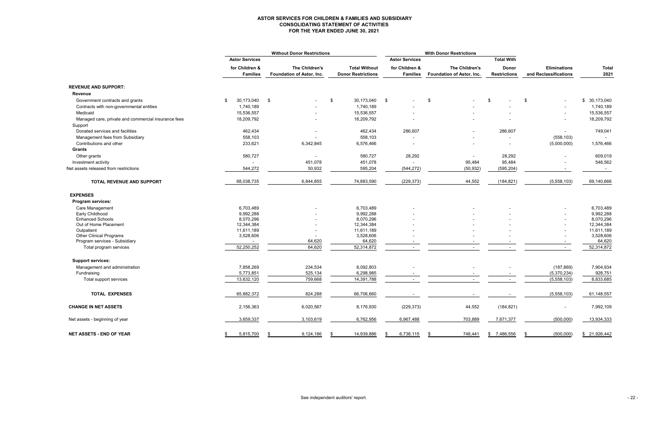#### **ASTOR SERVICES FOR CHILDREN & FAMILIES AND SUBSIDIARY CONSOLIDATING STATEMENT OF ACTIVITIES FOR THE YEAR ENDED JUNE 30, 2021**

|                                                     |                                   | <b>Without Donor Restrictions</b>           |                                                   | <b>With Donor Restrictions</b>    |                                                    |                                     |                                              |                      |
|-----------------------------------------------------|-----------------------------------|---------------------------------------------|---------------------------------------------------|-----------------------------------|----------------------------------------------------|-------------------------------------|----------------------------------------------|----------------------|
|                                                     | <b>Astor Services</b>             |                                             |                                                   | <b>Astor Services</b>             |                                                    | <b>Total With</b>                   |                                              |                      |
|                                                     | for Children &<br><b>Families</b> | The Children's<br>Foundation of Astor, Inc. | <b>Total Without</b><br><b>Donor Restrictions</b> | for Children &<br><b>Families</b> | The Children's<br><b>Foundation of Astor, Inc.</b> | <b>Donor</b><br><b>Restrictions</b> | <b>Eliminations</b><br>and Reclassifications | <b>Total</b><br>2021 |
| <b>REVENUE AND SUPPORT:</b>                         |                                   |                                             |                                                   |                                   |                                                    |                                     |                                              |                      |
| Revenue                                             |                                   |                                             |                                                   |                                   |                                                    |                                     |                                              |                      |
| Government contracts and grants                     | 30,173,040 \$<br>\$               |                                             | \$<br>30,173,040 \$                               |                                   | \$                                                 | \$                                  | \$<br>$\overline{\phantom{a}}$               | \$30,173,040         |
| Contracts with non-governmental entities            | 1,740,189                         |                                             | 1,740,189                                         |                                   |                                                    |                                     |                                              | 1,740,189            |
| Medicaid                                            | 15,536,557                        |                                             | 15,536,557                                        |                                   |                                                    |                                     | $\overline{\phantom{a}}$                     | 15,536,557           |
| Managed care, private and commercial insurance fees | 18,209,792                        |                                             | 18,209,792                                        |                                   |                                                    |                                     |                                              | 18,209,792           |
| Support                                             |                                   |                                             |                                                   |                                   |                                                    |                                     |                                              |                      |
| Donated services and facilities                     | 462,434                           |                                             | 462,434                                           | 286,607                           |                                                    | 286,607                             | $\overline{\phantom{a}}$                     | 749,041              |
| Management fees from Subsidiary                     | 558,103                           |                                             | 558,103                                           | $\overline{\phantom{a}}$          |                                                    | ۰                                   | (558, 103)                                   |                      |
| Contributions and other                             | 233,621                           | 6,342,845                                   | 6,576,466                                         |                                   |                                                    | $\overline{\phantom{a}}$            | (5,000,000)                                  | 1,576,466            |
| Grants                                              |                                   |                                             |                                                   |                                   |                                                    |                                     |                                              |                      |
| Other grants                                        | 580,727                           | $\overline{\phantom{a}}$                    | 580,727                                           | 28,292                            |                                                    | 28,292                              |                                              | 609,019              |
| Investment activity                                 | $\overline{\phantom{a}}$          | 451,078                                     | 451,078                                           |                                   | 95,484                                             | 95,484                              |                                              | 546,562              |
| Net assets released from restrictions               | 544,272                           | 50,932                                      | 595,204                                           | (544, 272)                        | (50, 932)                                          | (595, 204)                          |                                              |                      |
| <b>TOTAL REVENUE AND SUPPORT</b>                    | 68,038,735                        | 6,844,855                                   | 74,883,590                                        | (229, 373)                        | 44,552                                             | (184, 821)                          | (5,558,103)                                  | 69,140,666           |
| <b>EXPENSES</b>                                     |                                   |                                             |                                                   |                                   |                                                    |                                     |                                              |                      |
| Program services:                                   |                                   |                                             |                                                   |                                   |                                                    |                                     |                                              |                      |
| Care Management                                     | 6,703,489                         |                                             | 6,703,489                                         |                                   |                                                    |                                     |                                              | 6,703,489            |
| Early Childhood                                     | 9,992,288                         |                                             | 9,992,288                                         |                                   |                                                    |                                     |                                              | 9,992,288            |
| <b>Enhanced Schools</b>                             | 8,070,296                         |                                             | 8,070,296                                         |                                   |                                                    |                                     |                                              | 8,070,296            |
| Out of Home Placement                               | 12,344,384                        |                                             | 12,344,384                                        |                                   |                                                    |                                     |                                              | 12,344,384           |
| Outpatient                                          | 11,611,189                        |                                             | 11,611,189                                        |                                   |                                                    |                                     |                                              | 11,611,189           |
| <b>Other Clinical Programs</b>                      | 3,528,606                         |                                             | 3,528,606                                         |                                   |                                                    |                                     |                                              | 3,528,606            |
| Program services - Subsidiary                       |                                   | 64,620                                      | 64,620                                            | $\overline{\phantom{0}}$          | $\sim$                                             | $\overline{\phantom{a}}$            | $\sim$                                       | 64,620               |
| Total program services                              | 52,250,252                        | 64,620                                      | 52,314,872                                        |                                   | $\sim$                                             |                                     |                                              | 52,314,872           |
| <b>Support services:</b>                            |                                   |                                             |                                                   |                                   |                                                    |                                     |                                              |                      |
| Management and administration                       | 7,858,269                         | 234,534                                     | 8,092,803                                         |                                   |                                                    |                                     | (187, 869)                                   | 7,904,934            |
| Fundraising                                         | 5,773,851                         | 525,134                                     | 6,298,985                                         |                                   |                                                    |                                     | (5,370,234)                                  | 928,751              |
| Total support services                              | 13,632,120                        | 759,668                                     | 14,391,788                                        |                                   |                                                    | $\overline{\phantom{a}}$            | (5,558,103)                                  | 8,833,685            |
| <b>TOTAL EXPENSES</b>                               | 65,882,372                        | 824,288                                     | 66,706,660                                        |                                   |                                                    |                                     | (5,558,103)                                  | 61,148,557           |
| <b>CHANGE IN NET ASSETS</b>                         | 2,156,363                         | 6,020,567                                   | 8,176,930                                         | (229, 373)                        | 44,552                                             | (184, 821)                          | $\overline{\phantom{a}}$                     | 7,992,109            |
| Net assets - beginning of year                      | 3,659,337                         | 3,103,619                                   | 6,762,956                                         | 6,967,488                         | 703,889                                            | 7,671,377                           | (500,000)                                    | 13,934,333           |
| <b>NET ASSETS - END OF YEAR</b>                     | 5,815,700                         | 9,124,186                                   | 14,939,886<br>\$                                  | 6,738,115                         | 748,441<br>- \$                                    | \$7,486,556                         | (500,000)                                    | \$ 21,926,442        |